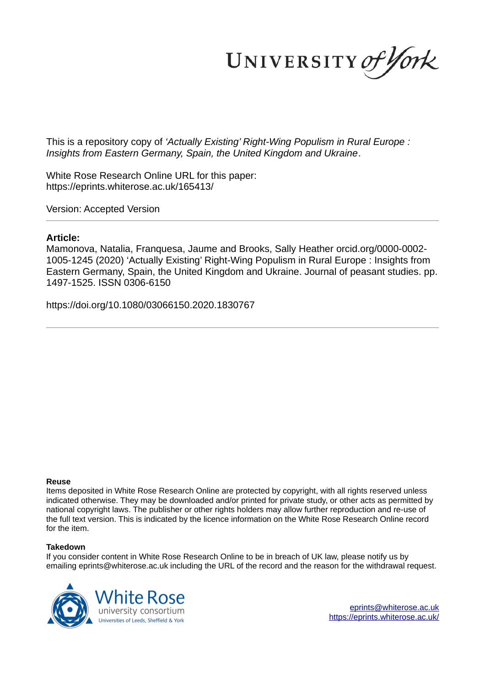UNIVERSITY of York

This is a repository copy of *'Actually Existing' Right-Wing Populism in Rural Europe : Insights from Eastern Germany, Spain, the United Kingdom and Ukraine*.

White Rose Research Online URL for this paper: https://eprints.whiterose.ac.uk/165413/

Version: Accepted Version

# **Article:**

Mamonova, Natalia, Franquesa, Jaume and Brooks, Sally Heather orcid.org/0000-0002- 1005-1245 (2020) 'Actually Existing' Right-Wing Populism in Rural Europe : Insights from Eastern Germany, Spain, the United Kingdom and Ukraine. Journal of peasant studies. pp. 1497-1525. ISSN 0306-6150

https://doi.org/10.1080/03066150.2020.1830767

#### **Reuse**

Items deposited in White Rose Research Online are protected by copyright, with all rights reserved unless indicated otherwise. They may be downloaded and/or printed for private study, or other acts as permitted by national copyright laws. The publisher or other rights holders may allow further reproduction and re-use of the full text version. This is indicated by the licence information on the White Rose Research Online record for the item.

#### **Takedown**

If you consider content in White Rose Research Online to be in breach of UK law, please notify us by emailing eprints@whiterose.ac.uk including the URL of the record and the reason for the withdrawal request.

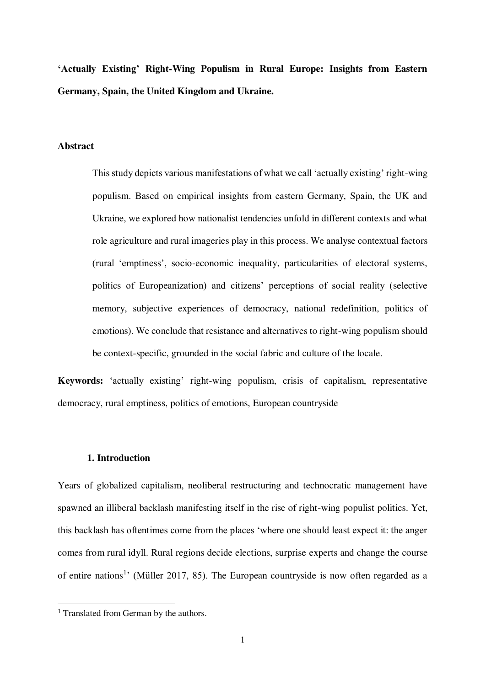**'Actually Existing' Right-Wing Populism in Rural Europe: Insights from Eastern Germany, Spain, the United Kingdom and Ukraine.** 

#### **Abstract**

This study depicts various manifestations of what we call 'actually existing' right-wing populism. Based on empirical insights from eastern Germany, Spain, the UK and Ukraine, we explored how nationalist tendencies unfold in different contexts and what role agriculture and rural imageries play in this process. We analyse contextual factors (rural 'emptiness', socio-economic inequality, particularities of electoral systems, politics of Europeanization) and citizens' perceptions of social reality (selective memory, subjective experiences of democracy, national redefinition, politics of emotions). We conclude that resistance and alternatives to right-wing populism should be context-specific, grounded in the social fabric and culture of the locale.

**Keywords:** 'actually existing' right-wing populism, crisis of capitalism, representative democracy, rural emptiness, politics of emotions, European countryside

## **1. Introduction**

Years of globalized capitalism, neoliberal restructuring and technocratic management have spawned an illiberal backlash manifesting itself in the rise of right-wing populist politics. Yet, this backlash has oftentimes come from the places 'where one should least expect it: the anger comes from rural idyll. Rural regions decide elections, surprise experts and change the course of entire nations<sup>1</sup>' (Müller 2017, 85). The European countryside is now often regarded as a

L

<sup>&</sup>lt;sup>1</sup> Translated from German by the authors.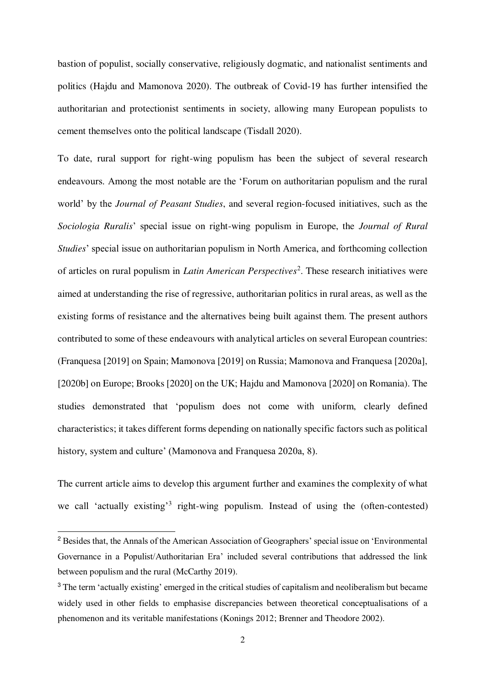bastion of populist, socially conservative, religiously dogmatic, and nationalist sentiments and politics (Hajdu and Mamonova 2020). The outbreak of Covid-19 has further intensified the authoritarian and protectionist sentiments in society, allowing many European populists to cement themselves onto the political landscape (Tisdall 2020).

To date, rural support for right-wing populism has been the subject of several research endeavours. Among the most notable are the 'Forum on authoritarian populism and the rural world' by the *Journal of Peasant Studies*, and several region-focused initiatives, such as the *Sociologia Ruralis*' special issue on right-wing populism in Europe, the *Journal of Rural Studies*' special issue on authoritarian populism in North America, and forthcoming collection of articles on rural populism in *Latin American Perspectives*<sup>2</sup>. These research initiatives were aimed at understanding the rise of regressive, authoritarian politics in rural areas, as well as the existing forms of resistance and the alternatives being built against them. The present authors contributed to some of these endeavours with analytical articles on several European countries: (Franquesa [2019] on Spain; Mamonova [2019] on Russia; Mamonova and Franquesa [2020a], [2020b] on Europe; Brooks [2020] on the UK; Hajdu and Mamonova [2020] on Romania). The studies demonstrated that 'populism does not come with uniform, clearly defined characteristics; it takes different forms depending on nationally specific factors such as political history, system and culture' (Mamonova and Franquesa 2020a, 8).

The current article aims to develop this argument further and examines the complexity of what we call 'actually existing'<sup>3</sup> right-wing populism. Instead of using the (often-contested)

L

<sup>&</sup>lt;sup>2</sup> Besides that, the Annals of the American Association of Geographers' special issue on 'Environmental Governance in a Populist/Authoritarian Era' included several contributions that addressed the link between populism and the rural (McCarthy 2019).

<sup>&</sup>lt;sup>3</sup> The term 'actually existing' emerged in the critical studies of capitalism and neoliberalism but became widely used in other fields to emphasise discrepancies between theoretical conceptualisations of a phenomenon and its veritable manifestations (Konings 2012; Brenner and Theodore 2002).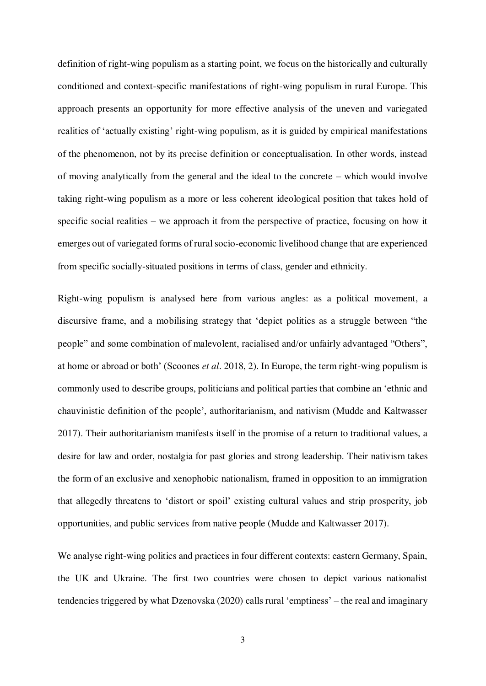definition of right-wing populism as a starting point, we focus on the historically and culturally conditioned and context-specific manifestations of right-wing populism in rural Europe. This approach presents an opportunity for more effective analysis of the uneven and variegated realities of 'actually existing' right-wing populism, as it is guided by empirical manifestations of the phenomenon, not by its precise definition or conceptualisation. In other words, instead of moving analytically from the general and the ideal to the concrete – which would involve taking right-wing populism as a more or less coherent ideological position that takes hold of specific social realities – we approach it from the perspective of practice, focusing on how it emerges out of variegated forms of rural socio-economic livelihood change that are experienced from specific socially-situated positions in terms of class, gender and ethnicity.

Right-wing populism is analysed here from various angles: as a political movement, a discursive frame, and a mobilising strategy that 'depict politics as a struggle between "the people" and some combination of malevolent, racialised and/or unfairly advantaged "Others", at home or abroad or both' (Scoones *et al*. 2018, 2). In Europe, the term right-wing populism is commonly used to describe groups, politicians and political parties that combine an 'ethnic and chauvinistic definition of the people', authoritarianism, and nativism (Mudde and Kaltwasser 2017). Their authoritarianism manifests itself in the promise of a return to traditional values, a desire for law and order, nostalgia for past glories and strong leadership. Their nativism takes the form of an exclusive and xenophobic nationalism, framed in opposition to an immigration that allegedly threatens to 'distort or spoil' existing cultural values and strip prosperity, job opportunities, and public services from native people (Mudde and Kaltwasser 2017).

We analyse right-wing politics and practices in four different contexts: eastern Germany, Spain, the UK and Ukraine. The first two countries were chosen to depict various nationalist tendencies triggered by what Dzenovska (2020) calls rural 'emptiness' – the real and imaginary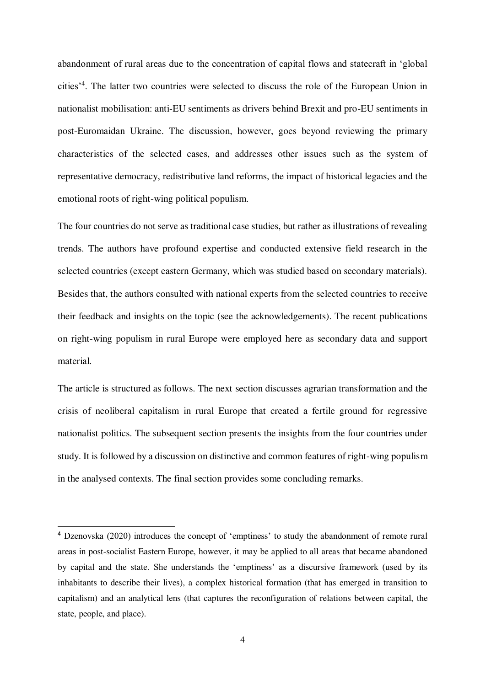abandonment of rural areas due to the concentration of capital flows and statecraft in 'global cities'<sup>4</sup> . The latter two countries were selected to discuss the role of the European Union in nationalist mobilisation: anti-EU sentiments as drivers behind Brexit and pro-EU sentiments in post-Euromaidan Ukraine. The discussion, however, goes beyond reviewing the primary characteristics of the selected cases, and addresses other issues such as the system of representative democracy, redistributive land reforms, the impact of historical legacies and the emotional roots of right-wing political populism.

The four countries do not serve as traditional case studies, but rather as illustrations of revealing trends. The authors have profound expertise and conducted extensive field research in the selected countries (except eastern Germany, which was studied based on secondary materials). Besides that, the authors consulted with national experts from the selected countries to receive their feedback and insights on the topic (see the acknowledgements). The recent publications on right-wing populism in rural Europe were employed here as secondary data and support material.

The article is structured as follows. The next section discusses agrarian transformation and the crisis of neoliberal capitalism in rural Europe that created a fertile ground for regressive nationalist politics. The subsequent section presents the insights from the four countries under study. It is followed by a discussion on distinctive and common features of right-wing populism in the analysed contexts. The final section provides some concluding remarks.

L

<sup>4</sup> Dzenovska (2020) introduces the concept of 'emptiness' to study the abandonment of remote rural areas in post-socialist Eastern Europe, however, it may be applied to all areas that became abandoned by capital and the state. She understands the 'emptiness' as a discursive framework (used by its inhabitants to describe their lives), a complex historical formation (that has emerged in transition to capitalism) and an analytical lens (that captures the reconfiguration of relations between capital, the state, people, and place).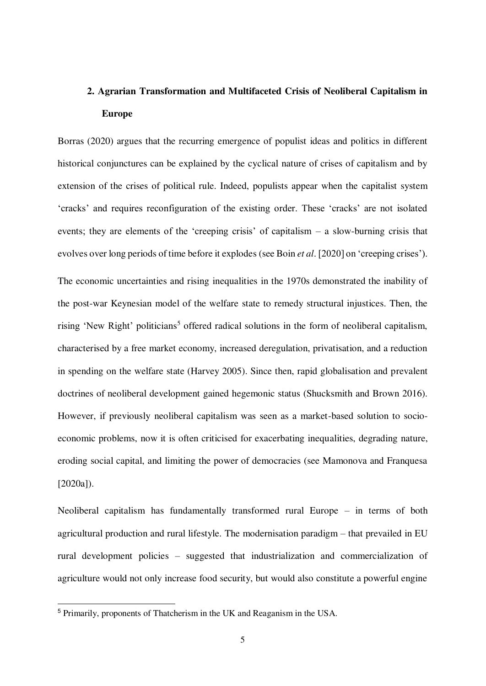# **2. Agrarian Transformation and Multifaceted Crisis of Neoliberal Capitalism in Europe**

Borras (2020) argues that the recurring emergence of populist ideas and politics in different historical conjunctures can be explained by the cyclical nature of crises of capitalism and by extension of the crises of political rule. Indeed, populists appear when the capitalist system 'cracks' and requires reconfiguration of the existing order. These 'cracks' are not isolated events; they are elements of the 'creeping crisis' of capitalism – a slow-burning crisis that evolves over long periods of time before it explodes (see Boin *et al*. [2020] on 'creeping crises'). The economic uncertainties and rising inequalities in the 1970s demonstrated the inability of the post-war Keynesian model of the welfare state to remedy structural injustices. Then, the rising 'New Right' politicians<sup>5</sup> offered radical solutions in the form of neoliberal capitalism, characterised by a free market economy, increased deregulation, privatisation, and a reduction in spending on the welfare state (Harvey 2005). Since then, rapid globalisation and prevalent doctrines of neoliberal development gained hegemonic status (Shucksmith and Brown 2016). However, if previously neoliberal capitalism was seen as a market-based solution to socioeconomic problems, now it is often criticised for exacerbating inequalities, degrading nature, eroding social capital, and limiting the power of democracies (see Mamonova and Franquesa [2020a]).

Neoliberal capitalism has fundamentally transformed rural Europe – in terms of both agricultural production and rural lifestyle. The modernisation paradigm – that prevailed in EU rural development policies – suggested that industrialization and commercialization of agriculture would not only increase food security, but would also constitute a powerful engine

L

<sup>5</sup> Primarily, proponents of Thatcherism in the UK and Reaganism in the USA.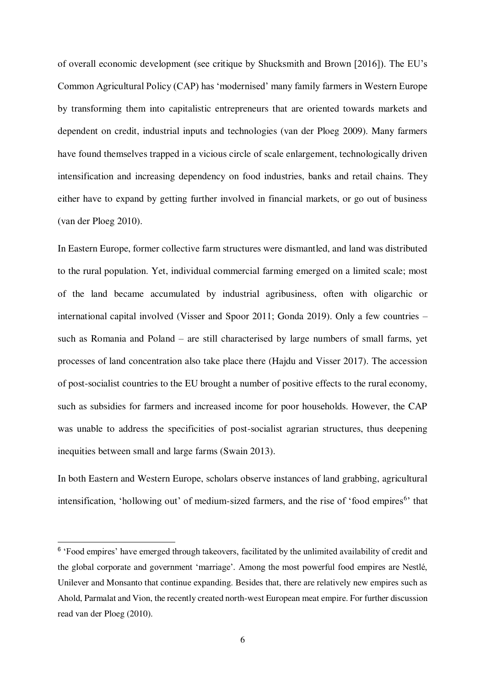of overall economic development (see critique by Shucksmith and Brown [2016]). The EU's Common Agricultural Policy (CAP) has 'modernised' many family farmers in Western Europe by transforming them into capitalistic entrepreneurs that are oriented towards markets and dependent on credit, industrial inputs and technologies (van der Ploeg 2009). Many farmers have found themselves trapped in a vicious circle of scale enlargement, technologically driven intensification and increasing dependency on food industries, banks and retail chains. They either have to expand by getting further involved in financial markets, or go out of business (van der Ploeg 2010).

In Eastern Europe, former collective farm structures were dismantled, and land was distributed to the rural population. Yet, individual commercial farming emerged on a limited scale; most of the land became accumulated by industrial agribusiness, often with oligarchic or international capital involved (Visser and Spoor 2011; Gonda 2019). Only a few countries – such as Romania and Poland – are still characterised by large numbers of small farms, yet processes of land concentration also take place there (Hajdu and Visser 2017). The accession of post-socialist countries to the EU brought a number of positive effects to the rural economy, such as subsidies for farmers and increased income for poor households. However, the CAP was unable to address the specificities of post-socialist agrarian structures, thus deepening inequities between small and large farms (Swain 2013).

In both Eastern and Western Europe, scholars observe instances of land grabbing, agricultural intensification, 'hollowing out' of medium-sized farmers, and the rise of 'food empires<sup>6</sup>' that

l.

<sup>&</sup>lt;sup>6</sup> 'Food empires' have emerged through takeovers, facilitated by the unlimited availability of credit and the global corporate and government 'marriage'. Among the most powerful food empires are Nestlé, Unilever and Monsanto that continue expanding. Besides that, there are relatively new empires such as Ahold, Parmalat and Vion, the recently created north-west European meat empire. For further discussion read van der Ploeg (2010).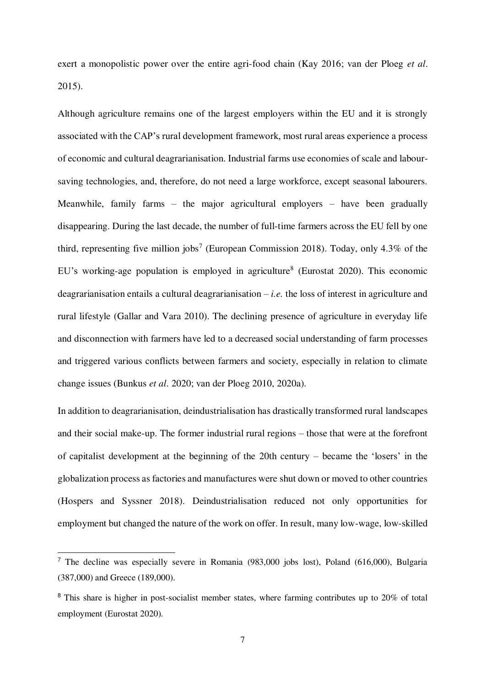exert a monopolistic power over the entire agri-food chain (Kay 2016; van der Ploeg *et al*. 2015).

Although agriculture remains one of the largest employers within the EU and it is strongly associated with the CAP's rural development framework, most rural areas experience a process of economic and cultural deagrarianisation. Industrial farms use economies of scale and laboursaving technologies, and, therefore, do not need a large workforce, except seasonal labourers. Meanwhile, family farms – the major agricultural employers – have been gradually disappearing. During the last decade, the number of full-time farmers across the EU fell by one third, representing five million jobs<sup>7</sup> (European Commission 2018). Today, only 4.3% of the EU's working-age population is employed in agriculture<sup>8</sup> (Eurostat 2020). This economic deagrarianisation entails a cultural deagrarianisation – *i.e.* the loss of interest in agriculture and rural lifestyle (Gallar and Vara 2010). The declining presence of agriculture in everyday life and disconnection with farmers have led to a decreased social understanding of farm processes and triggered various conflicts between farmers and society, especially in relation to climate change issues (Bunkus *et al*. 2020; van der Ploeg 2010, 2020a).

In addition to deagrarianisation, deindustrialisation has drastically transformed rural landscapes and their social make-up. The former industrial rural regions – those that were at the forefront of capitalist development at the beginning of the 20th century – became the 'losers' in the globalization process as factories and manufactures were shut down or moved to other countries (Hospers and Syssner 2018). Deindustrialisation reduced not only opportunities for employment but changed the nature of the work on offer. In result, many low-wage, low-skilled

L

<sup>&</sup>lt;sup>7</sup> The decline was especially severe in Romania (983,000 jobs lost), Poland (616,000), Bulgaria (387,000) and Greece (189,000).

<sup>&</sup>lt;sup>8</sup> This share is higher in post-socialist member states, where farming contributes up to 20% of total employment (Eurostat 2020).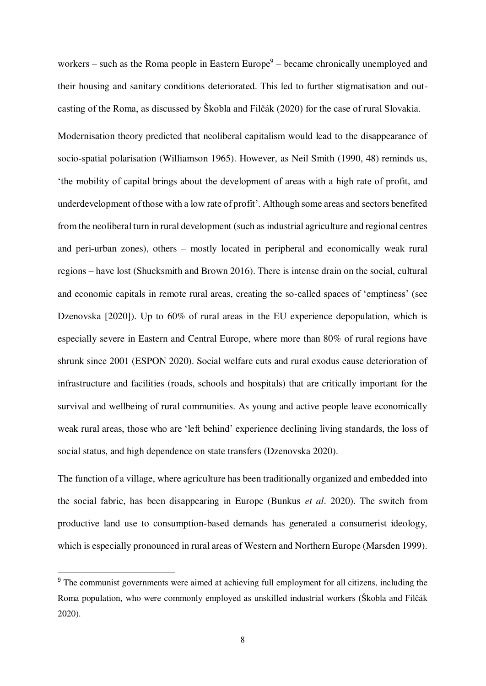workers – such as the Roma people in Eastern Europe $9$  – became chronically unemployed and their housing and sanitary conditions deteriorated. This led to further stigmatisation and outcasting of the Roma, as discussed by Škobla and Filčák (2020) for the case of rural Slovakia.

Modernisation theory predicted that neoliberal capitalism would lead to the disappearance of socio-spatial polarisation (Williamson 1965). However, as Neil Smith (1990, 48) reminds us, 'the mobility of capital brings about the development of areas with a high rate of profit, and underdevelopment of those with a low rate of profit'. Although some areas and sectors benefited from the neoliberal turn in rural development (such as industrial agriculture and regional centres and peri-urban zones), others – mostly located in peripheral and economically weak rural regions – have lost (Shucksmith and Brown 2016). There is intense drain on the social, cultural and economic capitals in remote rural areas, creating the so-called spaces of 'emptiness' (see Dzenovska [2020]). Up to 60% of rural areas in the EU experience depopulation, which is especially severe in Eastern and Central Europe, where more than 80% of rural regions have shrunk since 2001 (ESPON 2020). Social welfare cuts and rural exodus cause deterioration of infrastructure and facilities (roads, schools and hospitals) that are critically important for the survival and wellbeing of rural communities. As young and active people leave economically weak rural areas, those who are 'left behind' experience declining living standards, the loss of social status, and high dependence on state transfers (Dzenovska 2020).

The function of a village, where agriculture has been traditionally organized and embedded into the social fabric, has been disappearing in Europe (Bunkus *et al*. 2020). The switch from productive land use to consumption-based demands has generated a consumerist ideology, which is especially pronounced in rural areas of Western and Northern Europe (Marsden 1999).

l.

<sup>&</sup>lt;sup>9</sup> The communist governments were aimed at achieving full employment for all citizens, including the Roma population, who were commonly employed as unskilled industrial workers (Škobla and Filčák 2020).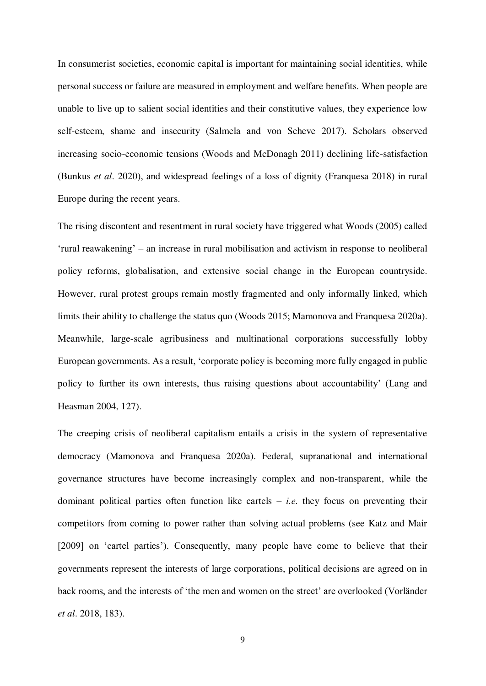In consumerist societies, economic capital is important for maintaining social identities, while personal success or failure are measured in employment and welfare benefits. When people are unable to live up to salient social identities and their constitutive values, they experience low self-esteem, shame and insecurity (Salmela and von Scheve 2017). Scholars observed increasing socio-economic tensions (Woods and McDonagh 2011) declining life-satisfaction (Bunkus *et al*. 2020), and widespread feelings of a loss of dignity (Franquesa 2018) in rural Europe during the recent years.

The rising discontent and resentment in rural society have triggered what Woods (2005) called 'rural reawakening' – an increase in rural mobilisation and activism in response to neoliberal policy reforms, globalisation, and extensive social change in the European countryside. However, rural protest groups remain mostly fragmented and only informally linked, which limits their ability to challenge the status quo (Woods 2015; Mamonova and Franquesa 2020a). Meanwhile, large-scale agribusiness and multinational corporations successfully lobby European governments. As a result, 'corporate policy is becoming more fully engaged in public policy to further its own interests, thus raising questions about accountability' (Lang and Heasman 2004, 127).

The creeping crisis of neoliberal capitalism entails a crisis in the system of representative democracy (Mamonova and Franquesa 2020a). Federal, supranational and international governance structures have become increasingly complex and non-transparent, while the dominant political parties often function like cartels  $-$  *i.e.* they focus on preventing their competitors from coming to power rather than solving actual problems (see Katz and Mair [2009] on 'cartel parties'). Consequently, many people have come to believe that their governments represent the interests of large corporations, political decisions are agreed on in back rooms, and the interests of 'the men and women on the street' are overlooked (Vorländer *et al*. 2018, 183).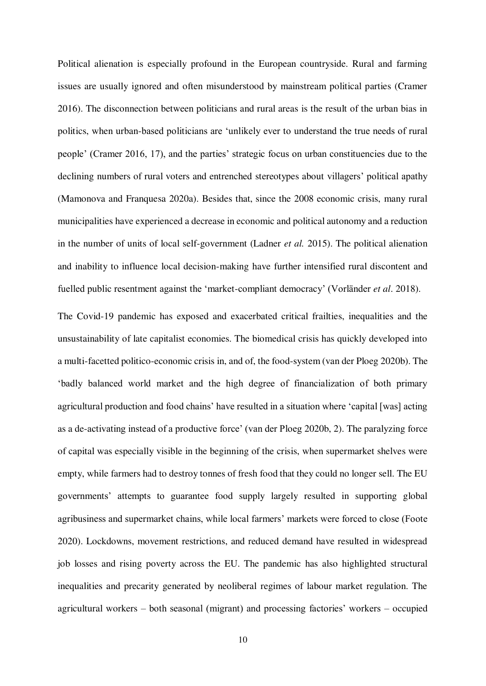Political alienation is especially profound in the European countryside. Rural and farming issues are usually ignored and often misunderstood by mainstream political parties (Cramer 2016). The disconnection between politicians and rural areas is the result of the urban bias in politics, when urban-based politicians are 'unlikely ever to understand the true needs of rural people' (Cramer 2016, 17), and the parties' strategic focus on urban constituencies due to the declining numbers of rural voters and entrenched stereotypes about villagers' political apathy (Mamonova and Franquesa 2020a). Besides that, since the 2008 economic crisis, many rural municipalities have experienced a decrease in economic and political autonomy and a reduction in the number of units of local self-government (Ladner *et al.* 2015). The political alienation and inability to influence local decision-making have further intensified rural discontent and fuelled public resentment against the 'market-compliant democracy' (Vorländer *et al*. 2018).

The Covid-19 pandemic has exposed and exacerbated critical frailties, inequalities and the unsustainability of late capitalist economies. The biomedical crisis has quickly developed into a multi-facetted politico-economic crisis in, and of, the food-system (van der Ploeg 2020b). The 'badly balanced world market and the high degree of financialization of both primary agricultural production and food chains' have resulted in a situation where 'capital [was] acting as a de-activating instead of a productive force' (van der Ploeg 2020b, 2). The paralyzing force of capital was especially visible in the beginning of the crisis, when supermarket shelves were empty, while farmers had to destroy tonnes of fresh food that they could no longer sell. The EU governments' attempts to guarantee food supply largely resulted in supporting global agribusiness and supermarket chains, while local farmers' markets were forced to close (Foote 2020). Lockdowns, movement restrictions, and reduced demand have resulted in widespread job losses and rising poverty across the EU. The pandemic has also highlighted structural inequalities and precarity generated by neoliberal regimes of labour market regulation. The agricultural workers – both seasonal (migrant) and processing factories' workers – occupied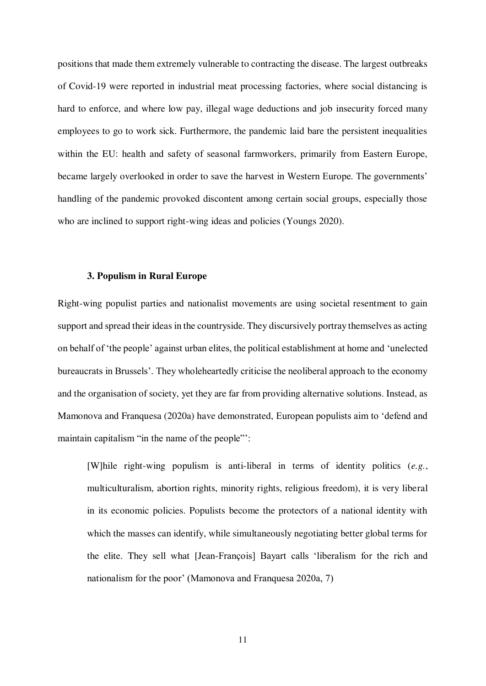positions that made them extremely vulnerable to contracting the disease. The largest outbreaks of Covid-19 were reported in industrial meat processing factories, where social distancing is hard to enforce, and where low pay, illegal wage deductions and job insecurity forced many employees to go to work sick. Furthermore, the pandemic laid bare the persistent inequalities within the EU: health and safety of seasonal farmworkers, primarily from Eastern Europe, became largely overlooked in order to save the harvest in Western Europe. The governments' handling of the pandemic provoked discontent among certain social groups, especially those who are inclined to support right-wing ideas and policies (Youngs 2020).

## **3. Populism in Rural Europe**

Right-wing populist parties and nationalist movements are using societal resentment to gain support and spread their ideas in the countryside. They discursively portray themselves as acting on behalf of 'the people' against urban elites, the political establishment at home and 'unelected bureaucrats in Brussels'. They wholeheartedly criticise the neoliberal approach to the economy and the organisation of society, yet they are far from providing alternative solutions. Instead, as Mamonova and Franquesa (2020a) have demonstrated, European populists aim to 'defend and maintain capitalism "in the name of the people"':

[W]hile right-wing populism is anti-liberal in terms of identity politics (*e.g.*, multiculturalism, abortion rights, minority rights, religious freedom), it is very liberal in its economic policies. Populists become the protectors of a national identity with which the masses can identify, while simultaneously negotiating better global terms for the elite. They sell what [Jean-François] Bayart calls 'liberalism for the rich and nationalism for the poor' (Mamonova and Franquesa 2020a, 7)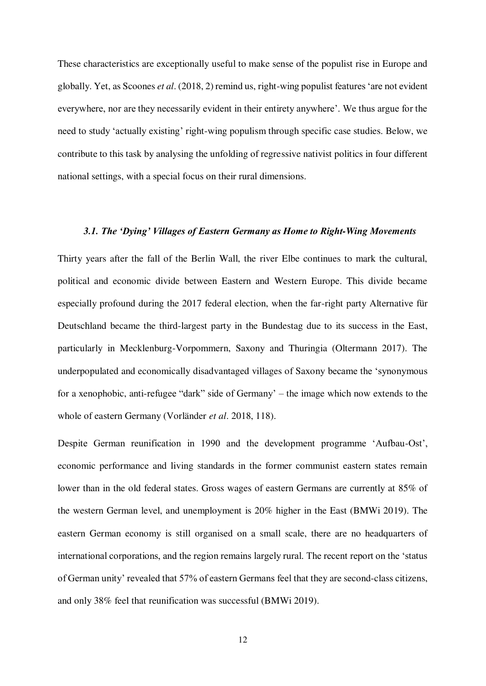These characteristics are exceptionally useful to make sense of the populist rise in Europe and globally. Yet, as Scoones *et al*. (2018, 2) remind us, right-wing populist features 'are not evident everywhere, nor are they necessarily evident in their entirety anywhere'. We thus argue for the need to study 'actually existing' right-wing populism through specific case studies. Below, we contribute to this task by analysing the unfolding of regressive nativist politics in four different national settings, with a special focus on their rural dimensions.

## *3.1. The 'Dying' Villages of Eastern Germany as Home to Right-Wing Movements*

Thirty years after the fall of the Berlin Wall, the river Elbe continues to mark the cultural, political and economic divide between Eastern and Western Europe. This divide became especially profound during the 2017 federal election, when the far-right party Alternative für Deutschland became the third-largest party in the Bundestag due to its success in the East, particularly in Mecklenburg-Vorpommern, Saxony and Thuringia (Oltermann 2017). The underpopulated and economically disadvantaged villages of Saxony became the 'synonymous for a xenophobic, anti-refugee "dark" side of Germany' – the image which now extends to the whole of eastern Germany (Vorländer *et al*. 2018, 118).

Despite German reunification in 1990 and the development programme 'Aufbau-Ost', economic performance and living standards in the former communist eastern states remain lower than in the old federal states. Gross wages of eastern Germans are currently at 85% of the western German level, and unemployment is 20% higher in the East (BMWi 2019). The eastern German economy is still organised on a small scale, there are no headquarters of international corporations, and the region remains largely rural. The recent report on the 'status of German unity' revealed that 57% of eastern Germans feel that they are second-class citizens, and only 38% feel that reunification was successful (BMWi 2019).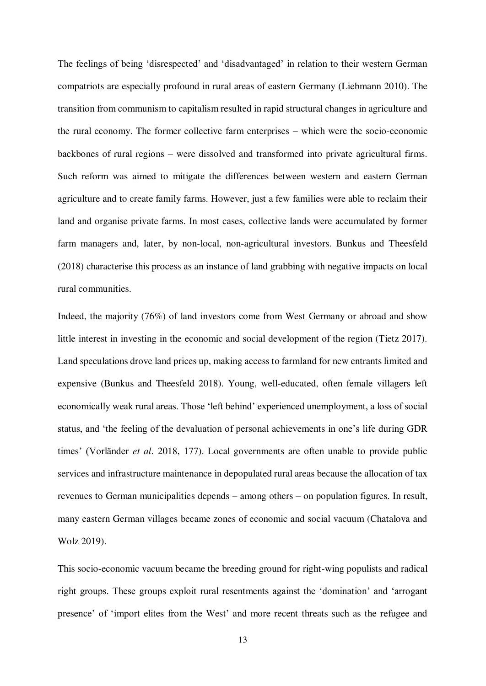The feelings of being 'disrespected' and 'disadvantaged' in relation to their western German compatriots are especially profound in rural areas of eastern Germany (Liebmann 2010). The transition from communism to capitalism resulted in rapid structural changes in agriculture and the rural economy. The former collective farm enterprises – which were the socio-economic backbones of rural regions – were dissolved and transformed into private agricultural firms. Such reform was aimed to mitigate the differences between western and eastern German agriculture and to create family farms. However, just a few families were able to reclaim their land and organise private farms. In most cases, collective lands were accumulated by former farm managers and, later, by non-local, non-agricultural investors. Bunkus and Theesfeld (2018) characterise this process as an instance of land grabbing with negative impacts on local rural communities.

Indeed, the majority (76%) of land investors come from West Germany or abroad and show little interest in investing in the economic and social development of the region (Tietz 2017). Land speculations drove land prices up, making access to farmland for new entrants limited and expensive (Bunkus and Theesfeld 2018). Young, well-educated, often female villagers left economically weak rural areas. Those 'left behind' experienced unemployment, a loss of social status, and 'the feeling of the devaluation of personal achievements in one's life during GDR times' (Vorländer *et al*. 2018, 177). Local governments are often unable to provide public services and infrastructure maintenance in depopulated rural areas because the allocation of tax revenues to German municipalities depends – among others – on population figures. In result, many eastern German villages became zones of economic and social vacuum (Chatalova and Wolz 2019).

This socio-economic vacuum became the breeding ground for right-wing populists and radical right groups. These groups exploit rural resentments against the 'domination' and 'arrogant presence' of 'import elites from the West' and more recent threats such as the refugee and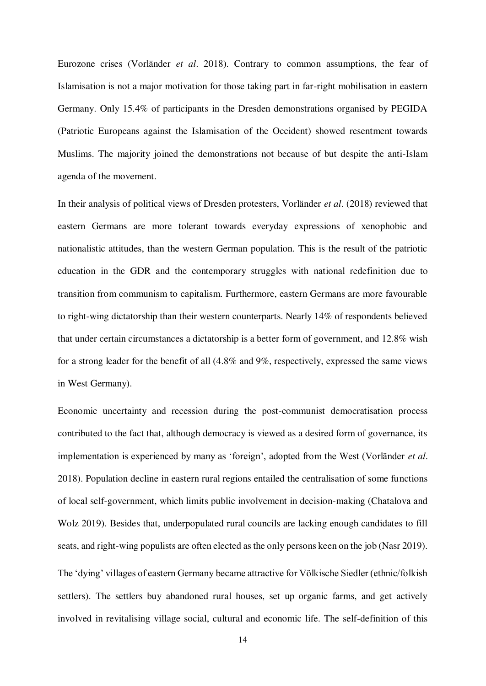Eurozone crises (Vorländer *et al*. 2018). Contrary to common assumptions, the fear of Islamisation is not a major motivation for those taking part in far-right mobilisation in eastern Germany. Only 15.4% of participants in the Dresden demonstrations organised by PEGIDA (Patriotic Europeans against the Islamisation of the Occident) showed resentment towards Muslims. The majority joined the demonstrations not because of but despite the anti-Islam agenda of the movement.

In their analysis of political views of Dresden protesters, Vorländer *et al*. (2018) reviewed that eastern Germans are more tolerant towards everyday expressions of xenophobic and nationalistic attitudes, than the western German population. This is the result of the patriotic education in the GDR and the contemporary struggles with national redefinition due to transition from communism to capitalism. Furthermore, eastern Germans are more favourable to right-wing dictatorship than their western counterparts. Nearly 14% of respondents believed that under certain circumstances a dictatorship is a better form of government, and 12.8% wish for a strong leader for the benefit of all (4.8% and 9%, respectively, expressed the same views in West Germany).

Economic uncertainty and recession during the post-communist democratisation process contributed to the fact that, although democracy is viewed as a desired form of governance, its implementation is experienced by many as 'foreign', adopted from the West (Vorländer *et al*. 2018). Population decline in eastern rural regions entailed the centralisation of some functions of local self-government, which limits public involvement in decision-making (Chatalova and Wolz 2019). Besides that, underpopulated rural councils are lacking enough candidates to fill seats, and right-wing populists are often elected as the only persons keen on the job (Nasr 2019). The 'dying' villages of eastern Germany became attractive for Völkische Siedler (ethnic/folkish

settlers). The settlers buy abandoned rural houses, set up organic farms, and get actively involved in revitalising village social, cultural and economic life. The self-definition of this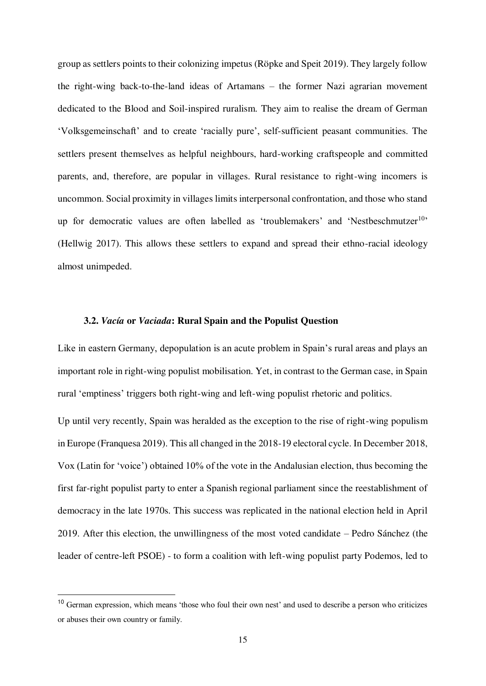group as settlers points to their colonizing impetus (Röpke and Speit 2019). They largely follow the right-wing back-to-the-land ideas of Artamans – the former Nazi agrarian movement dedicated to the Blood and Soil-inspired ruralism. They aim to realise the dream of German 'Volksgemeinschaft' and to create 'racially pure', self-sufficient peasant communities. The settlers present themselves as helpful neighbours, hard-working craftspeople and committed parents, and, therefore, are popular in villages. Rural resistance to right-wing incomers is uncommon. Social proximity in villages limits interpersonal confrontation, and those who stand up for democratic values are often labelled as 'troublemakers' and 'Nestbeschmutzer<sup>10</sup>' (Hellwig 2017). This allows these settlers to expand and spread their ethno-racial ideology almost unimpeded.

## **3.2.** *Vacía* **or** *Vaciada***: Rural Spain and the Populist Question**

Like in eastern Germany, depopulation is an acute problem in Spain's rural areas and plays an important role in right-wing populist mobilisation. Yet, in contrast to the German case, in Spain rural 'emptiness' triggers both right-wing and left-wing populist rhetoric and politics.

Up until very recently, Spain was heralded as the exception to the rise of right-wing populism in Europe (Franquesa 2019). This all changed in the 2018-19 electoral cycle. In December 2018, Vox (Latin for 'voice') obtained 10% of the vote in the Andalusian election, thus becoming the first far-right populist party to enter a Spanish regional parliament since the reestablishment of democracy in the late 1970s. This success was replicated in the national election held in April 2019. After this election, the unwillingness of the most voted candidate – Pedro Sánchez (the leader of centre-left PSOE) - to form a coalition with left-wing populist party Podemos, led to

l.

<sup>&</sup>lt;sup>10</sup> German expression, which means 'those who foul their own nest' and used to describe a person who criticizes or abuses their own country or family.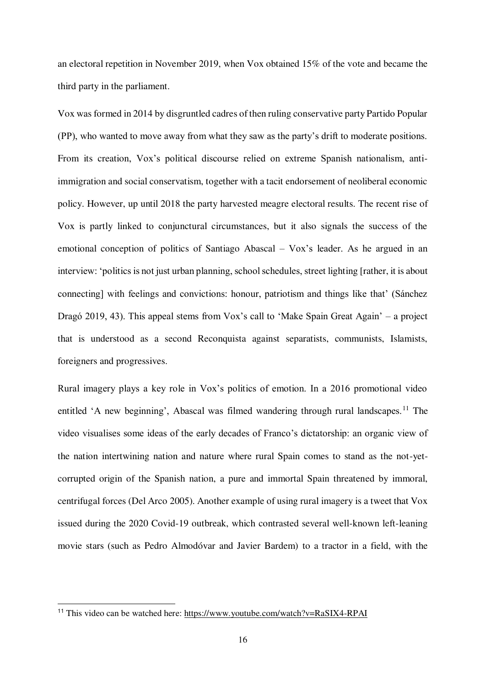an electoral repetition in November 2019, when Vox obtained 15% of the vote and became the third party in the parliament.

Vox was formed in 2014 by disgruntled cadres of then ruling conservative party Partido Popular (PP), who wanted to move away from what they saw as the party's drift to moderate positions. From its creation, Vox's political discourse relied on extreme Spanish nationalism, antiimmigration and social conservatism, together with a tacit endorsement of neoliberal economic policy. However, up until 2018 the party harvested meagre electoral results. The recent rise of Vox is partly linked to conjunctural circumstances, but it also signals the success of the emotional conception of politics of Santiago Abascal – Vox's leader. As he argued in an interview: 'politics is not just urban planning, school schedules, street lighting [rather, it is about connecting] with feelings and convictions: honour, patriotism and things like that' (Sánchez Dragó 2019, 43). This appeal stems from Vox's call to 'Make Spain Great Again' – a project that is understood as a second Reconquista against separatists, communists, Islamists, foreigners and progressives.

Rural imagery plays a key role in Vox's politics of emotion. In a 2016 promotional video entitled 'A new beginning', Abascal was filmed wandering through rural landscapes.<sup>11</sup> The video visualises some ideas of the early decades of Franco's dictatorship: an organic view of the nation intertwining nation and nature where rural Spain comes to stand as the not-yetcorrupted origin of the Spanish nation, a pure and immortal Spain threatened by immoral, centrifugal forces (Del Arco 2005). Another example of using rural imagery is a tweet that Vox issued during the 2020 Covid-19 outbreak, which contrasted several well-known left-leaning movie stars (such as Pedro Almodóvar and Javier Bardem) to a tractor in a field, with the

L

<sup>11</sup> This video can be watched here:<https://www.youtube.com/watch?v=RaSIX4-RPAI>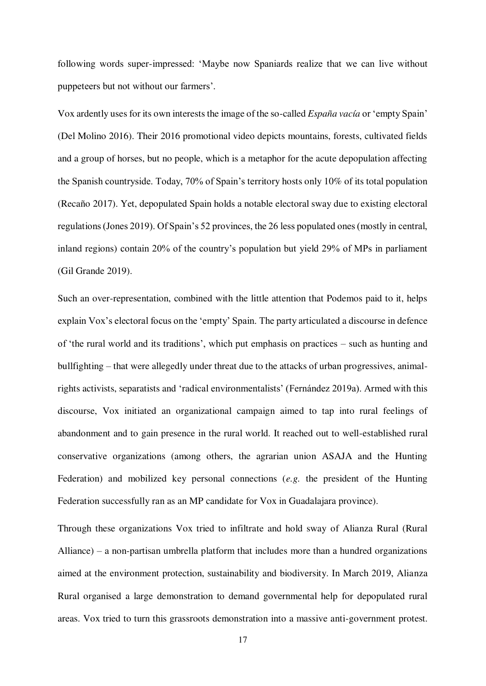following words super-impressed: 'Maybe now Spaniards realize that we can live without puppeteers but not without our farmers'.

Vox ardently uses for its own interests the image of the so-called *España vacía* or 'empty Spain' (Del Molino 2016). Their 2016 promotional video depicts mountains, forests, cultivated fields and a group of horses, but no people, which is a metaphor for the acute depopulation affecting the Spanish countryside. Today, 70% of Spain's territory hosts only 10% of its total population (Recaño 2017). Yet, depopulated Spain holds a notable electoral sway due to existing electoral regulations (Jones 2019). Of Spain's 52 provinces, the 26 less populated ones (mostly in central, inland regions) contain 20% of the country's population but yield 29% of MPs in parliament (Gil Grande 2019).

Such an over-representation, combined with the little attention that Podemos paid to it, helps explain Vox's electoral focus on the 'empty' Spain. The party articulated a discourse in defence of 'the rural world and its traditions', which put emphasis on practices – such as hunting and bullfighting – that were allegedly under threat due to the attacks of urban progressives, animalrights activists, separatists and 'radical environmentalists' (Fernández 2019a). Armed with this discourse, Vox initiated an organizational campaign aimed to tap into rural feelings of abandonment and to gain presence in the rural world. It reached out to well-established rural conservative organizations (among others, the agrarian union ASAJA and the Hunting Federation) and mobilized key personal connections (*e.g.* the president of the Hunting Federation successfully ran as an MP candidate for Vox in Guadalajara province).

Through these organizations Vox tried to infiltrate and hold sway of Alianza Rural (Rural Alliance) – a non-partisan umbrella platform that includes more than a hundred organizations aimed at the environment protection, sustainability and biodiversity. In March 2019, Alianza Rural organised a large demonstration to demand governmental help for depopulated rural areas. Vox tried to turn this grassroots demonstration into a massive anti-government protest.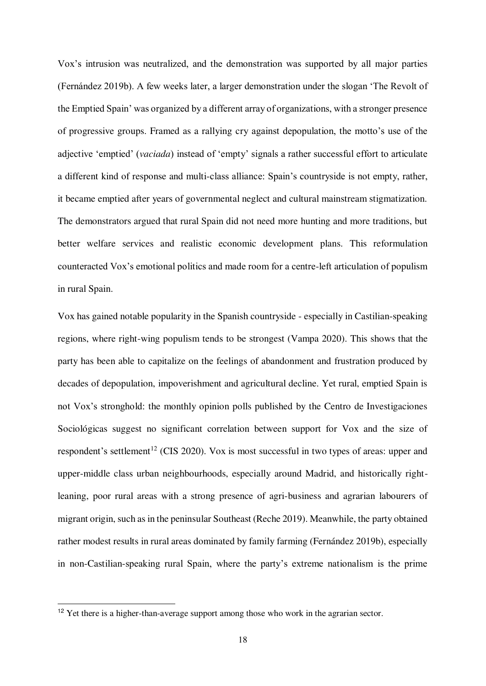Vox's intrusion was neutralized, and the demonstration was supported by all major parties (Fernández 2019b). A few weeks later, a larger demonstration under the slogan 'The Revolt of the Emptied Spain' was organized by a different array of organizations, with a stronger presence of progressive groups. Framed as a rallying cry against depopulation, the motto's use of the adjective 'emptied' (*vaciada*) instead of 'empty' signals a rather successful effort to articulate a different kind of response and multi-class alliance: Spain's countryside is not empty, rather, it became emptied after years of governmental neglect and cultural mainstream stigmatization. The demonstrators argued that rural Spain did not need more hunting and more traditions, but better welfare services and realistic economic development plans. This reformulation counteracted Vox's emotional politics and made room for a centre-left articulation of populism in rural Spain.

Vox has gained notable popularity in the Spanish countryside - especially in Castilian-speaking regions, where right-wing populism tends to be strongest (Vampa 2020). This shows that the party has been able to capitalize on the feelings of abandonment and frustration produced by decades of depopulation, impoverishment and agricultural decline. Yet rural, emptied Spain is not Vox's stronghold: the monthly opinion polls published by the Centro de Investigaciones Sociológicas suggest no significant correlation between support for Vox and the size of respondent's settlement<sup>12</sup> (CIS 2020). Vox is most successful in two types of areas: upper and upper-middle class urban neighbourhoods, especially around Madrid, and historically rightleaning, poor rural areas with a strong presence of agri-business and agrarian labourers of migrant origin, such as in the peninsular Southeast (Reche 2019). Meanwhile, the party obtained rather modest results in rural areas dominated by family farming (Fernández 2019b), especially in non-Castilian-speaking rural Spain, where the party's extreme nationalism is the prime

L

<sup>&</sup>lt;sup>12</sup> Yet there is a higher-than-average support among those who work in the agrarian sector.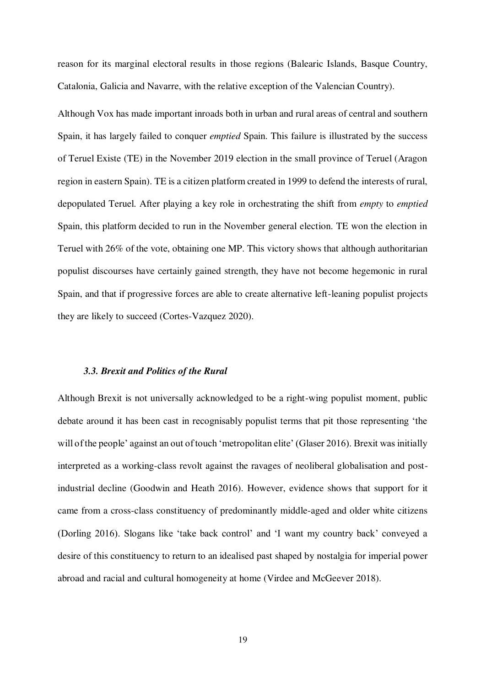reason for its marginal electoral results in those regions (Balearic Islands, Basque Country, Catalonia, Galicia and Navarre, with the relative exception of the Valencian Country).

Although Vox has made important inroads both in urban and rural areas of central and southern Spain, it has largely failed to conquer *emptied* Spain. This failure is illustrated by the success of Teruel Existe (TE) in the November 2019 election in the small province of Teruel (Aragon region in eastern Spain). TE is a citizen platform created in 1999 to defend the interests of rural, depopulated Teruel. After playing a key role in orchestrating the shift from *empty* to *emptied* Spain, this platform decided to run in the November general election. TE won the election in Teruel with 26% of the vote, obtaining one MP. This victory shows that although authoritarian populist discourses have certainly gained strength, they have not become hegemonic in rural Spain, and that if progressive forces are able to create alternative left-leaning populist projects they are likely to succeed (Cortes-Vazquez 2020).

#### *3.3. Brexit and Politics of the Rural*

Although Brexit is not universally acknowledged to be a right-wing populist moment, public debate around it has been cast in recognisably populist terms that pit those representing 'the will of the people' against an out of touch 'metropolitan elite' (Glaser 2016). Brexit was initially interpreted as a working-class revolt against the ravages of neoliberal globalisation and postindustrial decline (Goodwin and Heath 2016). However, evidence shows that support for it came from a cross-class constituency of predominantly middle-aged and older white citizens (Dorling 2016). Slogans like 'take back control' and 'I want my country back' conveyed a desire of this constituency to return to an idealised past shaped by nostalgia for imperial power abroad and racial and cultural homogeneity at home (Virdee and McGeever 2018).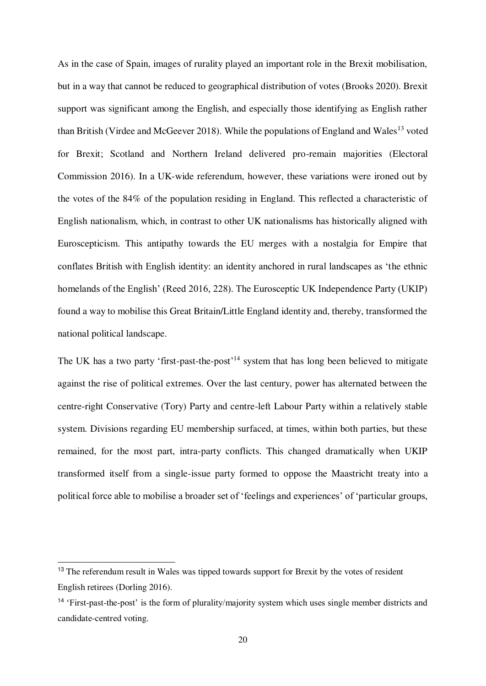As in the case of Spain, images of rurality played an important role in the Brexit mobilisation, but in a way that cannot be reduced to geographical distribution of votes (Brooks 2020). Brexit support was significant among the English, and especially those identifying as English rather than British (Virdee and McGeever 2018). While the populations of England and Wales<sup>13</sup> voted for Brexit; Scotland and Northern Ireland delivered pro-remain majorities (Electoral Commission 2016). In a UK-wide referendum, however, these variations were ironed out by the votes of the 84% of the population residing in England. This reflected a characteristic of English nationalism, which, in contrast to other UK nationalisms has historically aligned with Euroscepticism. This antipathy towards the EU merges with a nostalgia for Empire that conflates British with English identity: an identity anchored in rural landscapes as 'the ethnic homelands of the English' (Reed 2016, 228). The Eurosceptic UK Independence Party (UKIP) found a way to mobilise this Great Britain/Little England identity and, thereby, transformed the national political landscape.

The UK has a two party 'first-past-the-post'<sup>14</sup> system that has long been believed to mitigate against the rise of political extremes. Over the last century, power has alternated between the centre-right Conservative (Tory) Party and centre-left Labour Party within a relatively stable system. Divisions regarding EU membership surfaced, at times, within both parties, but these remained, for the most part, intra-party conflicts. This changed dramatically when UKIP transformed itself from a single-issue party formed to oppose the Maastricht treaty into a political force able to mobilise a broader set of 'feelings and experiences' of 'particular groups,

L

<sup>&</sup>lt;sup>13</sup> The referendum result in Wales was tipped towards support for Brexit by the votes of resident English retirees (Dorling 2016).

<sup>14</sup> 'First-past-the-post' is the form of plurality/majority system which uses single member districts and candidate-centred voting.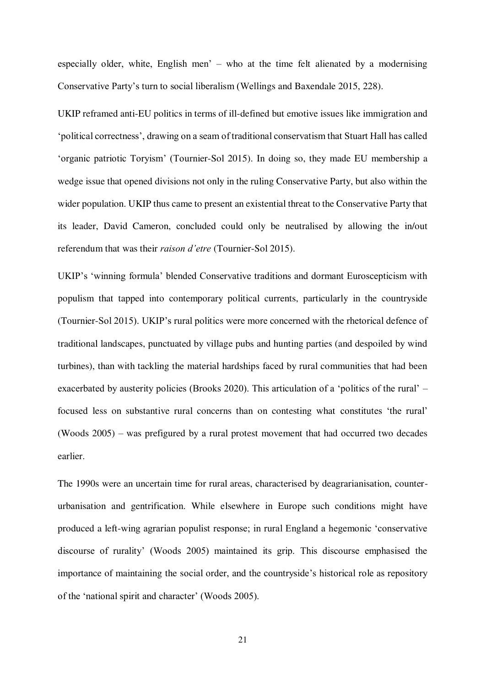especially older, white, English men' – who at the time felt alienated by a modernising Conservative Party's turn to social liberalism (Wellings and Baxendale 2015, 228).

UKIP reframed anti-EU politics in terms of ill-defined but emotive issues like immigration and 'political correctness', drawing on a seam of traditional conservatism that Stuart Hall has called 'organic patriotic Toryism' (Tournier-Sol 2015). In doing so, they made EU membership a wedge issue that opened divisions not only in the ruling Conservative Party, but also within the wider population. UKIP thus came to present an existential threat to the Conservative Party that its leader, David Cameron, concluded could only be neutralised by allowing the in/out referendum that was their *raison d'etre* (Tournier-Sol 2015).

UKIP's 'winning formula' blended Conservative traditions and dormant Euroscepticism with populism that tapped into contemporary political currents, particularly in the countryside (Tournier-Sol 2015). UKIP's rural politics were more concerned with the rhetorical defence of traditional landscapes, punctuated by village pubs and hunting parties (and despoiled by wind turbines), than with tackling the material hardships faced by rural communities that had been exacerbated by austerity policies (Brooks 2020). This articulation of a 'politics of the rural' – focused less on substantive rural concerns than on contesting what constitutes 'the rural' (Woods 2005) – was prefigured by a rural protest movement that had occurred two decades earlier.

The 1990s were an uncertain time for rural areas, characterised by deagrarianisation, counterurbanisation and gentrification. While elsewhere in Europe such conditions might have produced a left-wing agrarian populist response; in rural England a hegemonic 'conservative discourse of rurality' (Woods 2005) maintained its grip. This discourse emphasised the importance of maintaining the social order, and the countryside's historical role as repository of the 'national spirit and character' (Woods 2005).

21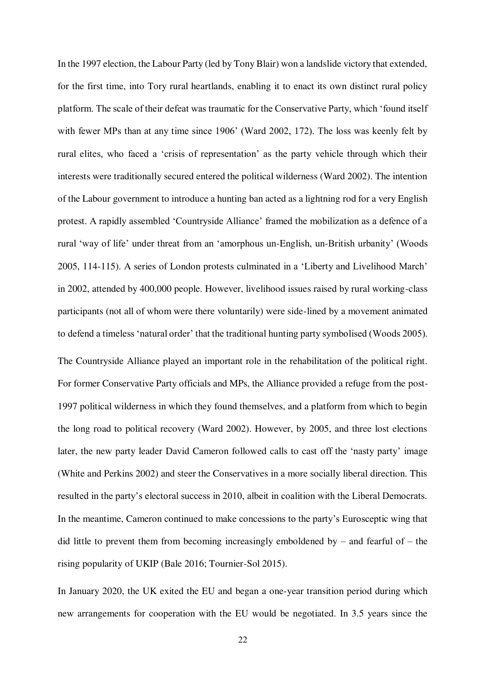In the 1997 election, the Labour Party (led by Tony Blair) won a landslide victory that extended, for the first time, into Tory rural heartlands, enabling it to enact its own distinct rural policy platform. The scale of their defeat was traumatic for the Conservative Party, which 'found itself with fewer MPs than at any time since 1906' (Ward 2002, 172). The loss was keenly felt by rural elites, who faced a 'crisis of representation' as the party vehicle through which their interests were traditionally secured entered the political wilderness (Ward 2002). The intention of the Labour government to introduce a hunting ban acted as a lightning rod for a very English protest. A rapidly assembled 'Countryside Alliance' framed the mobilization as a defence of a rural 'way of life' under threat from an 'amorphous un-English, un-British urbanity' (Woods 2005, 114-115). A series of London protests culminated in a 'Liberty and Livelihood March' in 2002, attended by 400,000 people. However, livelihood issues raised by rural working-class participants (not all of whom were there voluntarily) were side-lined by a movement animated to defend a timeless 'natural order' that the traditional hunting party symbolised (Woods 2005). The Countryside Alliance played an important role in the rehabilitation of the political right. For former Conservative Party officials and MPs, the Alliance provided a refuge from the post-1997 political wilderness in which they found themselves, and a platform from which to begin the long road to political recovery (Ward 2002). However, by 2005, and three lost elections later, the new party leader David Cameron followed calls to cast off the 'nasty party' image (White and Perkins 2002) and steer the Conservatives in a more socially liberal direction. This resulted in the party's electoral success in 2010, albeit in coalition with the Liberal Democrats. In the meantime, Cameron continued to make concessions to the party's Eurosceptic wing that did little to prevent them from becoming increasingly emboldened by – and fearful of – the rising popularity of UKIP (Bale 2016; Tournier-Sol 2015).

In January 2020, the UK exited the EU and began a one-year transition period during which new arrangements for cooperation with the EU would be negotiated. In 3.5 years since the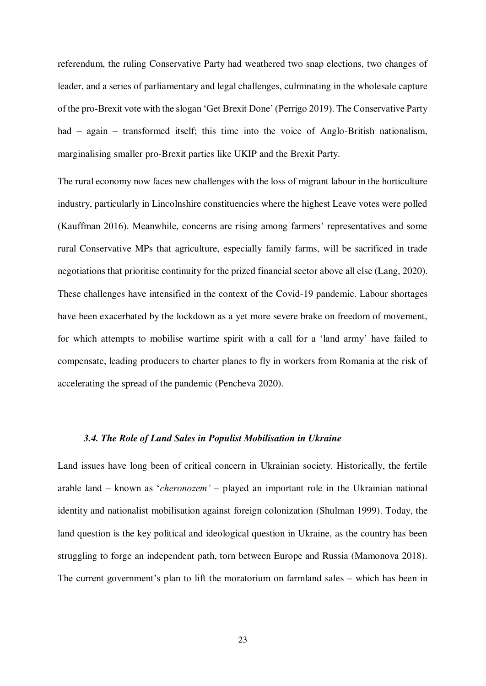referendum, the ruling Conservative Party had weathered two snap elections, two changes of leader, and a series of parliamentary and legal challenges, culminating in the wholesale capture of the pro-Brexit vote with the slogan 'Get Brexit Done' (Perrigo 2019). The Conservative Party had – again – transformed itself; this time into the voice of Anglo-British nationalism, marginalising smaller pro-Brexit parties like UKIP and the Brexit Party.

The rural economy now faces new challenges with the loss of migrant labour in the horticulture industry, particularly in Lincolnshire constituencies where the highest Leave votes were polled (Kauffman 2016). Meanwhile, concerns are rising among farmers' representatives and some rural Conservative MPs that agriculture, especially family farms, will be sacrificed in trade negotiations that prioritise continuity for the prized financial sector above all else (Lang, 2020). These challenges have intensified in the context of the Covid-19 pandemic. Labour shortages have been exacerbated by the lockdown as a yet more severe brake on freedom of movement, for which attempts to mobilise wartime spirit with a call for a 'land army' have failed to compensate, leading producers to charter planes to fly in workers from Romania at the risk of accelerating the spread of the pandemic (Pencheva 2020).

#### *3.4. The Role of Land Sales in Populist Mobilisation in Ukraine*

Land issues have long been of critical concern in Ukrainian society. Historically, the fertile arable land – known as '*cheronozem'* – played an important role in the Ukrainian national identity and nationalist mobilisation against foreign colonization (Shulman 1999). Today, the land question is the key political and ideological question in Ukraine, as the country has been struggling to forge an independent path, torn between Europe and Russia (Mamonova 2018). The current government's plan to lift the moratorium on farmland sales – which has been in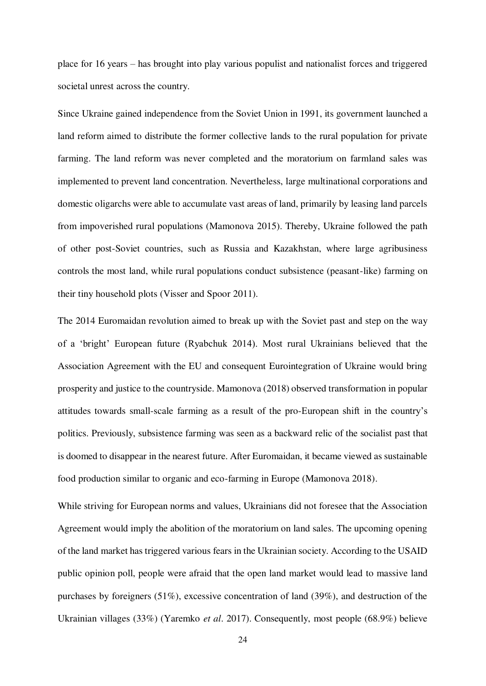place for 16 years – has brought into play various populist and nationalist forces and triggered societal unrest across the country.

Since Ukraine gained independence from the Soviet Union in 1991, its government launched a land reform aimed to distribute the former collective lands to the rural population for private farming. The land reform was never completed and the moratorium on farmland sales was implemented to prevent land concentration. Nevertheless, large multinational corporations and domestic oligarchs were able to accumulate vast areas of land, primarily by leasing land parcels from impoverished rural populations (Mamonova 2015). Thereby, Ukraine followed the path of other post-Soviet countries, such as Russia and Kazakhstan, where large agribusiness controls the most land, while rural populations conduct subsistence (peasant-like) farming on their tiny household plots (Visser and Spoor 2011).

The 2014 Euromaidan revolution aimed to break up with the Soviet past and step on the way of a 'bright' European future (Ryabchuk 2014). Most rural Ukrainians believed that the Association Agreement with the EU and consequent Eurointegration of Ukraine would bring prosperity and justice to the countryside. Mamonova (2018) observed transformation in popular attitudes towards small-scale farming as a result of the pro-European shift in the country's politics. Previously, subsistence farming was seen as a backward relic of the socialist past that is doomed to disappear in the nearest future. After Euromaidan, it became viewed as sustainable food production similar to organic and eco-farming in Europe (Mamonova 2018).

While striving for European norms and values, Ukrainians did not foresee that the Association Agreement would imply the abolition of the moratorium on land sales. The upcoming opening of the land market has triggered various fears in the Ukrainian society. According to the USAID public opinion poll, people were afraid that the open land market would lead to massive land purchases by foreigners (51%), excessive concentration of land (39%), and destruction of the Ukrainian villages (33%) (Yaremko *et al*. 2017). Consequently, most people (68.9%) believe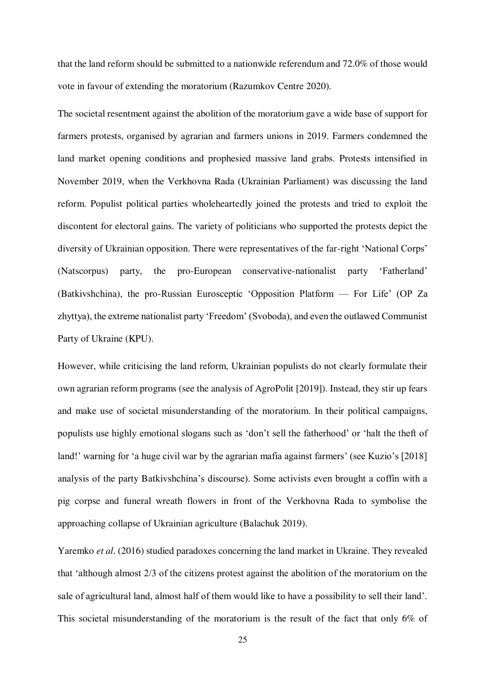that the land reform should be submitted to a nationwide referendum and 72.0% of those would vote in favour of extending the moratorium (Razumkov Centre 2020).

The societal resentment against the abolition of the moratorium gave a wide base of support for farmers protests, organised by agrarian and farmers unions in 2019. Farmers condemned the land market opening conditions and prophesied massive land grabs. Protests intensified in November 2019, when the Verkhovna Rada (Ukrainian Parliament) was discussing the land reform. Populist political parties wholeheartedly joined the protests and tried to exploit the discontent for electoral gains. The variety of politicians who supported the protests depict the diversity of Ukrainian opposition. There were representatives of the far-right 'National Corps' (Natscorpus) party, the pro-European conservative-nationalist party 'Fatherland' (Batkivshchina), the pro-Russian Eurosceptic 'Opposition Platform — For Life' (OP Za zhyttya), the extreme nationalist party 'Freedom' (Svoboda), and even the outlawed Communist Party of Ukraine (KPU).

However, while criticising the land reform, Ukrainian populists do not clearly formulate their own agrarian reform programs (see the analysis of AgroPolit [2019]). Instead, they stir up fears and make use of societal misunderstanding of the moratorium. In their political campaigns, populists use highly emotional slogans such as 'don't sell the fatherhood' or 'halt the theft of land!' warning for 'a huge civil war by the agrarian mafia against farmers' (see Kuzio's [2018] analysis of the party Batkivshchina's discourse). Some activists even brought a coffin with a pig corpse and funeral wreath flowers in front of the Verkhovna Rada to symbolise the approaching collapse of Ukrainian agriculture (Balachuk 2019).

Yaremko *et al*. (2016) studied paradoxes concerning the land market in Ukraine. They revealed that 'although almost 2/3 of the citizens protest against the abolition of the moratorium on the sale of agricultural land, almost half of them would like to have a possibility to sell their land'. This societal misunderstanding of the moratorium is the result of the fact that only 6% of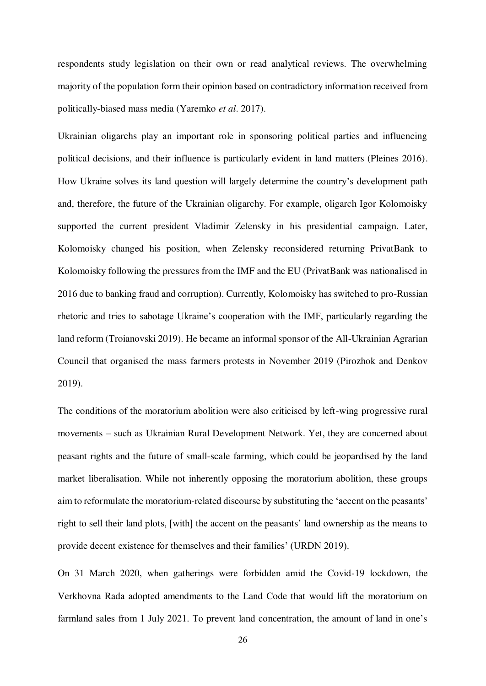respondents study legislation on their own or read analytical reviews. The overwhelming majority of the population form their opinion based on contradictory information received from politically-biased mass media (Yaremko *et al*. 2017).

Ukrainian oligarchs play an important role in sponsoring political parties and influencing political decisions, and their influence is particularly evident in land matters (Pleines 2016). How Ukraine solves its land question will largely determine the country's development path and, therefore, the future of the Ukrainian oligarchy. For example, oligarch Igor Kolomoisky supported the current president Vladimir Zelensky in his presidential campaign. Later, Kolomoisky changed his position, when Zelensky reconsidered returning PrivatBank to Kolomoisky following the pressures from the IMF and the EU (PrivatBank was nationalised in 2016 due to banking fraud and corruption). Currently, Kolomoisky has switched to pro-Russian rhetoric and tries to sabotage Ukraine's cooperation with the IMF, particularly regarding the land reform (Troianovski 2019). He became an informal sponsor of the All-Ukrainian Agrarian Council that organised the mass farmers protests in November 2019 (Pirozhok and Denkov 2019).

The conditions of the moratorium abolition were also criticised by left-wing progressive rural movements – such as Ukrainian Rural Development Network. Yet, they are concerned about peasant rights and the future of small-scale farming, which could be jeopardised by the land market liberalisation. While not inherently opposing the moratorium abolition, these groups aim to reformulate the moratorium-related discourse by substituting the 'accent on the peasants' right to sell their land plots, [with] the accent on the peasants' land ownership as the means to provide decent existence for themselves and their families' (URDN 2019).

On 31 March 2020, when gatherings were forbidden amid the Covid-19 lockdown, the Verkhovna Rada adopted amendments to the Land Code that would lift the moratorium on farmland sales from 1 July 2021. To prevent land concentration, the amount of land in one's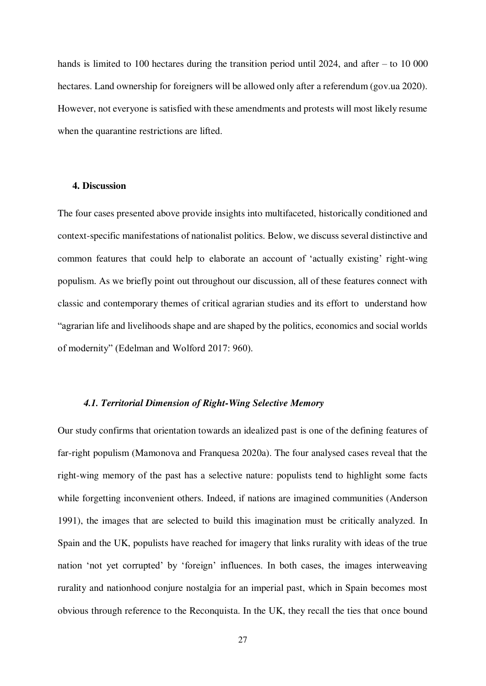hands is limited to 100 hectares during the transition period until 2024, and after – to 10 000 hectares. Land ownership for foreigners will be allowed only after a referendum (gov.ua 2020). However, not everyone is satisfied with these amendments and protests will most likely resume when the quarantine restrictions are lifted.

# **4. Discussion**

The four cases presented above provide insights into multifaceted, historically conditioned and context-specific manifestations of nationalist politics. Below, we discuss several distinctive and common features that could help to elaborate an account of 'actually existing' right-wing populism. As we briefly point out throughout our discussion, all of these features connect with classic and contemporary themes of critical agrarian studies and its effort to understand how "agrarian life and livelihoods shape and are shaped by the politics, economics and social worlds of modernity" (Edelman and Wolford 2017: 960).

## *4.1. Territorial Dimension of Right-Wing Selective Memory*

Our study confirms that orientation towards an idealized past is one of the defining features of far-right populism (Mamonova and Franquesa 2020a). The four analysed cases reveal that the right-wing memory of the past has a selective nature: populists tend to highlight some facts while forgetting inconvenient others. Indeed, if nations are imagined communities (Anderson 1991), the images that are selected to build this imagination must be critically analyzed. In Spain and the UK, populists have reached for imagery that links rurality with ideas of the true nation 'not yet corrupted' by 'foreign' influences. In both cases, the images interweaving rurality and nationhood conjure nostalgia for an imperial past, which in Spain becomes most obvious through reference to the Reconquista. In the UK, they recall the ties that once bound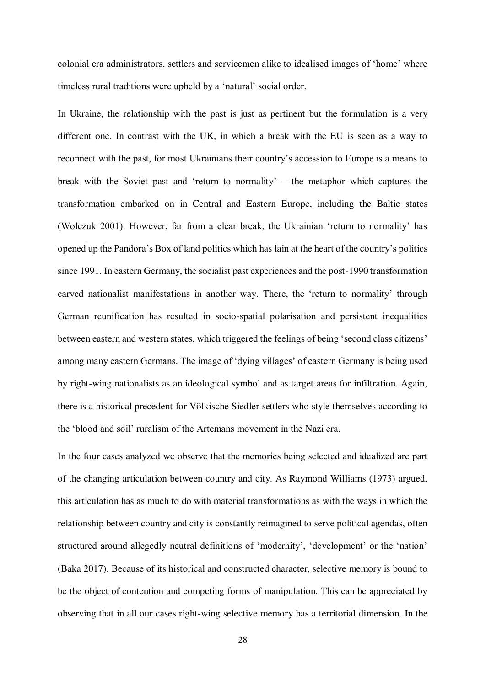colonial era administrators, settlers and servicemen alike to idealised images of 'home' where timeless rural traditions were upheld by a 'natural' social order.

In Ukraine, the relationship with the past is just as pertinent but the formulation is a very different one. In contrast with the UK, in which a break with the EU is seen as a way to reconnect with the past, for most Ukrainians their country's accession to Europe is a means to break with the Soviet past and 'return to normality' – the metaphor which captures the transformation embarked on in Central and Eastern Europe, including the Baltic states (Wolczuk 2001). However, far from a clear break, the Ukrainian 'return to normality' has opened up the Pandora's Box of land politics which has lain at the heart of the country's politics since 1991. In eastern Germany, the socialist past experiences and the post-1990 transformation carved nationalist manifestations in another way. There, the 'return to normality' through German reunification has resulted in socio-spatial polarisation and persistent inequalities between eastern and western states, which triggered the feelings of being 'second class citizens' among many eastern Germans. The image of 'dying villages' of eastern Germany is being used by right-wing nationalists as an ideological symbol and as target areas for infiltration. Again, there is a historical precedent for Völkische Siedler settlers who style themselves according to the 'blood and soil' ruralism of the Artemans movement in the Nazi era.

In the four cases analyzed we observe that the memories being selected and idealized are part of the changing articulation between country and city. As Raymond Williams (1973) argued, this articulation has as much to do with material transformations as with the ways in which the relationship between country and city is constantly reimagined to serve political agendas, often structured around allegedly neutral definitions of 'modernity', 'development' or the 'nation' (Baka 2017). Because of its historical and constructed character, selective memory is bound to be the object of contention and competing forms of manipulation. This can be appreciated by observing that in all our cases right-wing selective memory has a territorial dimension. In the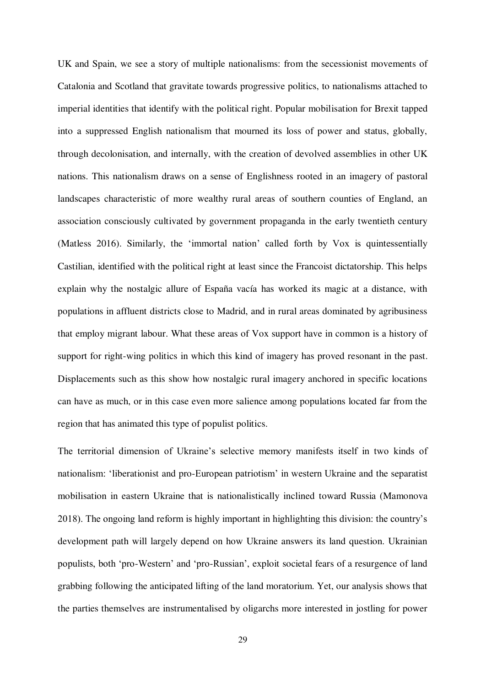UK and Spain, we see a story of multiple nationalisms: from the secessionist movements of Catalonia and Scotland that gravitate towards progressive politics, to nationalisms attached to imperial identities that identify with the political right. Popular mobilisation for Brexit tapped into a suppressed English nationalism that mourned its loss of power and status, globally, through decolonisation, and internally, with the creation of devolved assemblies in other UK nations. This nationalism draws on a sense of Englishness rooted in an imagery of pastoral landscapes characteristic of more wealthy rural areas of southern counties of England, an association consciously cultivated by government propaganda in the early twentieth century (Matless 2016). Similarly, the 'immortal nation' called forth by Vox is quintessentially Castilian, identified with the political right at least since the Francoist dictatorship. This helps explain why the nostalgic allure of España vacía has worked its magic at a distance, with populations in affluent districts close to Madrid, and in rural areas dominated by agribusiness that employ migrant labour. What these areas of Vox support have in common is a history of support for right-wing politics in which this kind of imagery has proved resonant in the past. Displacements such as this show how nostalgic rural imagery anchored in specific locations can have as much, or in this case even more salience among populations located far from the region that has animated this type of populist politics.

The territorial dimension of Ukraine's selective memory manifests itself in two kinds of nationalism: 'liberationist and pro-European patriotism' in western Ukraine and the separatist mobilisation in eastern Ukraine that is nationalistically inclined toward Russia (Mamonova 2018). The ongoing land reform is highly important in highlighting this division: the country's development path will largely depend on how Ukraine answers its land question. Ukrainian populists, both 'pro-Western' and 'pro-Russian', exploit societal fears of a resurgence of land grabbing following the anticipated lifting of the land moratorium. Yet, our analysis shows that the parties themselves are instrumentalised by oligarchs more interested in jostling for power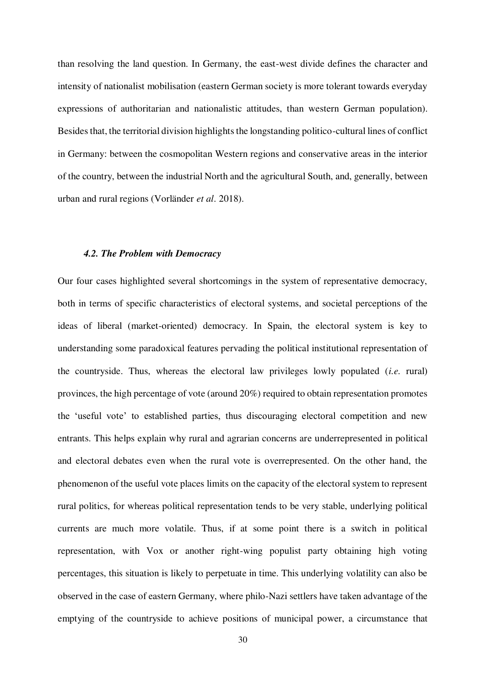than resolving the land question. In Germany, the east-west divide defines the character and intensity of nationalist mobilisation (eastern German society is more tolerant towards everyday expressions of authoritarian and nationalistic attitudes, than western German population). Besides that, the territorial division highlights the longstanding politico-cultural lines of conflict in Germany: between the cosmopolitan Western regions and conservative areas in the interior of the country, between the industrial North and the agricultural South, and, generally, between urban and rural regions (Vorländer *et al*. 2018).

#### *4.2. The Problem with Democracy*

Our four cases highlighted several shortcomings in the system of representative democracy, both in terms of specific characteristics of electoral systems, and societal perceptions of the ideas of liberal (market-oriented) democracy. In Spain, the electoral system is key to understanding some paradoxical features pervading the political institutional representation of the countryside. Thus, whereas the electoral law privileges lowly populated (*i.e.* rural) provinces, the high percentage of vote (around 20%) required to obtain representation promotes the 'useful vote' to established parties, thus discouraging electoral competition and new entrants. This helps explain why rural and agrarian concerns are underrepresented in political and electoral debates even when the rural vote is overrepresented. On the other hand, the phenomenon of the useful vote places limits on the capacity of the electoral system to represent rural politics, for whereas political representation tends to be very stable, underlying political currents are much more volatile. Thus, if at some point there is a switch in political representation, with Vox or another right-wing populist party obtaining high voting percentages, this situation is likely to perpetuate in time. This underlying volatility can also be observed in the case of eastern Germany, where philo-Nazi settlers have taken advantage of the emptying of the countryside to achieve positions of municipal power, a circumstance that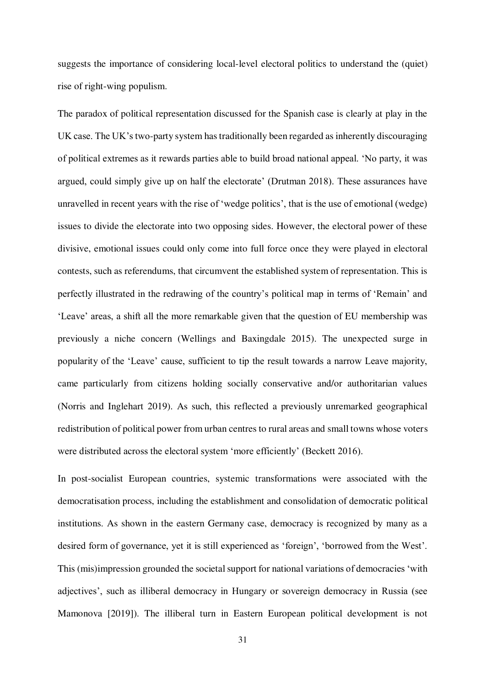suggests the importance of considering local-level electoral politics to understand the (quiet) rise of right-wing populism.

The paradox of political representation discussed for the Spanish case is clearly at play in the UK case. The UK's two-party system has traditionally been regarded as inherently discouraging of political extremes as it rewards parties able to build broad national appeal. 'No party, it was argued, could simply give up on half the electorate' (Drutman 2018). These assurances have unravelled in recent years with the rise of 'wedge politics', that is the use of emotional (wedge) issues to divide the electorate into two opposing sides. However, the electoral power of these divisive, emotional issues could only come into full force once they were played in electoral contests, such as referendums, that circumvent the established system of representation. This is perfectly illustrated in the redrawing of the country's political map in terms of 'Remain' and 'Leave' areas, a shift all the more remarkable given that the question of EU membership was previously a niche concern (Wellings and Baxingdale 2015). The unexpected surge in popularity of the 'Leave' cause, sufficient to tip the result towards a narrow Leave majority, came particularly from citizens holding socially conservative and/or authoritarian values (Norris and Inglehart 2019). As such, this reflected a previously unremarked geographical redistribution of political power from urban centres to rural areas and small towns whose voters were distributed across the electoral system 'more efficiently' (Beckett 2016).

In post-socialist European countries, systemic transformations were associated with the democratisation process, including the establishment and consolidation of democratic political institutions. As shown in the eastern Germany case, democracy is recognized by many as a desired form of governance, yet it is still experienced as 'foreign', 'borrowed from the West'. This (mis)impression grounded the societal support for national variations of democracies 'with adjectives', such as illiberal democracy in Hungary or sovereign democracy in Russia (see Mamonova [2019]). The illiberal turn in Eastern European political development is not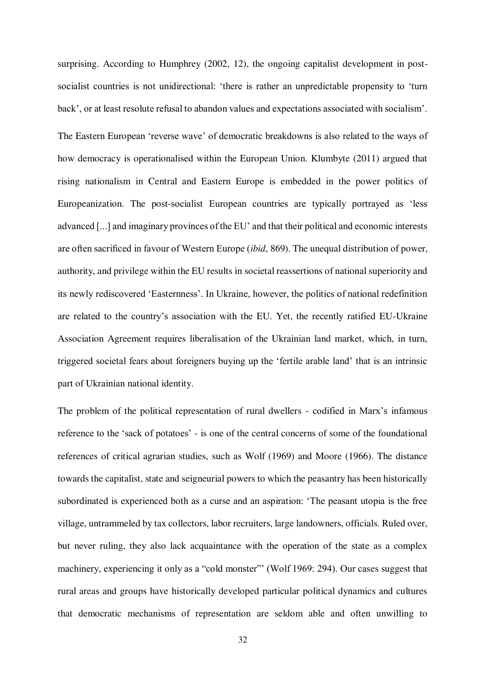surprising. According to Humphrey (2002, 12), the ongoing capitalist development in postsocialist countries is not unidirectional: 'there is rather an unpredictable propensity to 'turn back', or at least resolute refusal to abandon values and expectations associated with socialism'.

The Eastern European 'reverse wave' of democratic breakdowns is also related to the ways of how democracy is operationalised within the European Union. Klumbyte (2011) argued that rising nationalism in Central and Eastern Europe is embedded in the power politics of Europeanization. The post-socialist European countries are typically portrayed as 'less advanced [...] and imaginary provinces of the EU' and that their political and economic interests are often sacrificed in favour of Western Europe (*ibid*, 869). The unequal distribution of power, authority, and privilege within the EU results in societal reassertions of national superiority and its newly rediscovered 'Easternness'. In Ukraine, however, the politics of national redefinition are related to the country's association with the EU. Yet, the recently ratified EU-Ukraine Association Agreement requires liberalisation of the Ukrainian land market, which, in turn, triggered societal fears about foreigners buying up the 'fertile arable land' that is an intrinsic part of Ukrainian national identity.

The problem of the political representation of rural dwellers - codified in Marx's infamous reference to the 'sack of potatoes' - is one of the central concerns of some of the foundational references of critical agrarian studies, such as Wolf (1969) and Moore (1966). The distance towards the capitalist, state and seigneurial powers to which the peasantry has been historically subordinated is experienced both as a curse and an aspiration: 'The peasant utopia is the free village, untrammeled by tax collectors, labor recruiters, large landowners, officials. Ruled over, but never ruling, they also lack acquaintance with the operation of the state as a complex machinery, experiencing it only as a "cold monster" (Wolf 1969: 294). Our cases suggest that rural areas and groups have historically developed particular political dynamics and cultures that democratic mechanisms of representation are seldom able and often unwilling to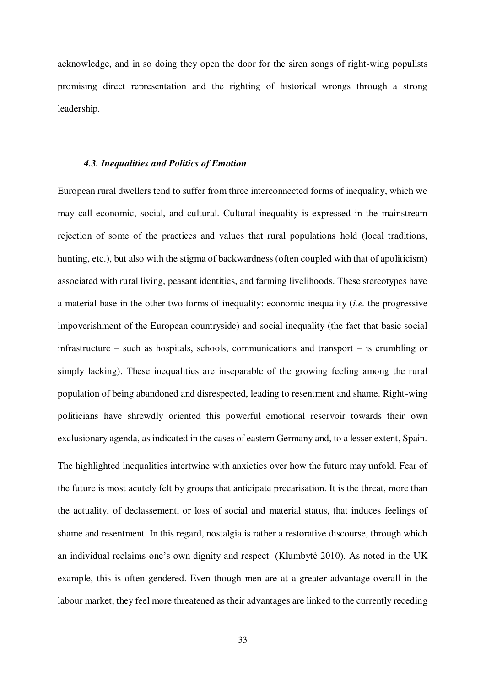acknowledge, and in so doing they open the door for the siren songs of right-wing populists promising direct representation and the righting of historical wrongs through a strong leadership.

#### *4.3. Inequalities and Politics of Emotion*

European rural dwellers tend to suffer from three interconnected forms of inequality, which we may call economic, social, and cultural. Cultural inequality is expressed in the mainstream rejection of some of the practices and values that rural populations hold (local traditions, hunting, etc.), but also with the stigma of backwardness (often coupled with that of apoliticism) associated with rural living, peasant identities, and farming livelihoods. These stereotypes have a material base in the other two forms of inequality: economic inequality (*i.e.* the progressive impoverishment of the European countryside) and social inequality (the fact that basic social infrastructure – such as hospitals, schools, communications and transport – is crumbling or simply lacking). These inequalities are inseparable of the growing feeling among the rural population of being abandoned and disrespected, leading to resentment and shame. Right-wing politicians have shrewdly oriented this powerful emotional reservoir towards their own exclusionary agenda, as indicated in the cases of eastern Germany and, to a lesser extent, Spain. The highlighted inequalities intertwine with anxieties over how the future may unfold. Fear of the future is most acutely felt by groups that anticipate precarisation. It is the threat, more than the actuality, of declassement, or loss of social and material status, that induces feelings of shame and resentment. In this regard, nostalgia is rather a restorative discourse, through which an individual reclaims one's own dignity and respect (Klumbytė 2010). As noted in the UK example, this is often gendered. Even though men are at a greater advantage overall in the labour market, they feel more threatened as their advantages are linked to the currently receding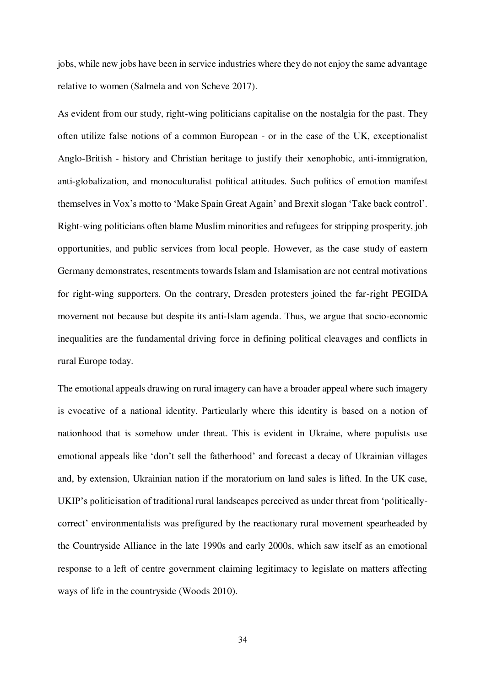jobs, while new jobs have been in service industries where they do not enjoy the same advantage relative to women (Salmela and von Scheve 2017).

As evident from our study, right-wing politicians capitalise on the nostalgia for the past. They often utilize false notions of a common European - or in the case of the UK, exceptionalist Anglo-British - history and Christian heritage to justify their xenophobic, anti-immigration, anti-globalization, and monoculturalist political attitudes. Such politics of emotion manifest themselves in Vox's motto to 'Make Spain Great Again' and Brexit slogan 'Take back control'. Right-wing politicians often blame Muslim minorities and refugees for stripping prosperity, job opportunities, and public services from local people. However, as the case study of eastern Germany demonstrates, resentments towards Islam and Islamisation are not central motivations for right-wing supporters. On the contrary, Dresden protesters joined the far-right PEGIDA movement not because but despite its anti-Islam agenda. Thus, we argue that socio-economic inequalities are the fundamental driving force in defining political cleavages and conflicts in rural Europe today.

The emotional appeals drawing on rural imagery can have a broader appeal where such imagery is evocative of a national identity. Particularly where this identity is based on a notion of nationhood that is somehow under threat. This is evident in Ukraine, where populists use emotional appeals like 'don't sell the fatherhood' and forecast a decay of Ukrainian villages and, by extension, Ukrainian nation if the moratorium on land sales is lifted. In the UK case, UKIP's politicisation of traditional rural landscapes perceived as under threat from 'politicallycorrect' environmentalists was prefigured by the reactionary rural movement spearheaded by the Countryside Alliance in the late 1990s and early 2000s, which saw itself as an emotional response to a left of centre government claiming legitimacy to legislate on matters affecting ways of life in the countryside (Woods 2010).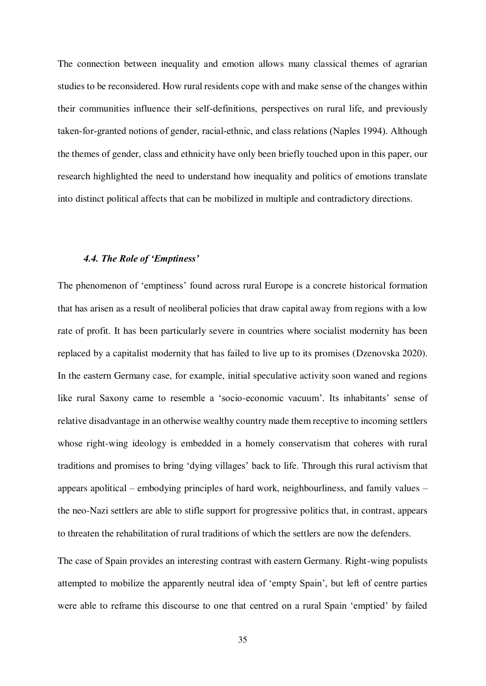The connection between inequality and emotion allows many classical themes of agrarian studies to be reconsidered. How rural residents cope with and make sense of the changes within their communities influence their self‐definitions, perspectives on rural life, and previously taken‐for‐granted notions of gender, racial‐ethnic, and class relations (Naples 1994). Although the themes of gender, class and ethnicity have only been briefly touched upon in this paper, our research highlighted the need to understand how inequality and politics of emotions translate into distinct political affects that can be mobilized in multiple and contradictory directions.

## *4.4. The Role of 'Emptiness'*

The phenomenon of 'emptiness' found across rural Europe is a concrete historical formation that has arisen as a result of neoliberal policies that draw capital away from regions with a low rate of profit. It has been particularly severe in countries where socialist modernity has been replaced by a capitalist modernity that has failed to live up to its promises (Dzenovska 2020). In the eastern Germany case, for example, initial speculative activity soon waned and regions like rural Saxony came to resemble a 'socio-economic vacuum'. Its inhabitants' sense of relative disadvantage in an otherwise wealthy country made them receptive to incoming settlers whose right-wing ideology is embedded in a homely conservatism that coheres with rural traditions and promises to bring 'dying villages' back to life. Through this rural activism that appears apolitical – embodying principles of hard work, neighbourliness, and family values – the neo-Nazi settlers are able to stifle support for progressive politics that, in contrast, appears to threaten the rehabilitation of rural traditions of which the settlers are now the defenders.

The case of Spain provides an interesting contrast with eastern Germany. Right-wing populists attempted to mobilize the apparently neutral idea of 'empty Spain', but left of centre parties were able to reframe this discourse to one that centred on a rural Spain 'emptied' by failed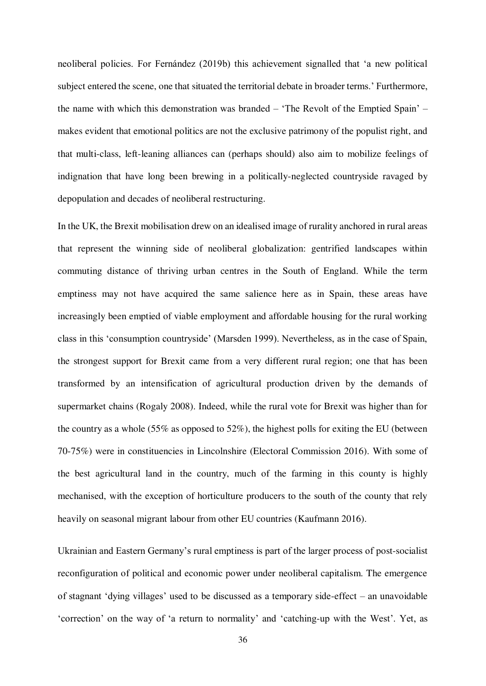neoliberal policies. For Fernández (2019b) this achievement signalled that 'a new political subject entered the scene, one that situated the territorial debate in broader terms.' Furthermore, the name with which this demonstration was branded – 'The Revolt of the Emptied Spain' – makes evident that emotional politics are not the exclusive patrimony of the populist right, and that multi-class, left-leaning alliances can (perhaps should) also aim to mobilize feelings of indignation that have long been brewing in a politically-neglected countryside ravaged by depopulation and decades of neoliberal restructuring.

In the UK, the Brexit mobilisation drew on an idealised image of rurality anchored in rural areas that represent the winning side of neoliberal globalization: gentrified landscapes within commuting distance of thriving urban centres in the South of England. While the term emptiness may not have acquired the same salience here as in Spain, these areas have increasingly been emptied of viable employment and affordable housing for the rural working class in this 'consumption countryside' (Marsden 1999). Nevertheless, as in the case of Spain, the strongest support for Brexit came from a very different rural region; one that has been transformed by an intensification of agricultural production driven by the demands of supermarket chains (Rogaly 2008). Indeed, while the rural vote for Brexit was higher than for the country as a whole (55% as opposed to 52%), the highest polls for exiting the EU (between 70-75%) were in constituencies in Lincolnshire (Electoral Commission 2016). With some of the best agricultural land in the country, much of the farming in this county is highly mechanised, with the exception of horticulture producers to the south of the county that rely heavily on seasonal migrant labour from other EU countries (Kaufmann 2016).

Ukrainian and Eastern Germany's rural emptiness is part of the larger process of post-socialist reconfiguration of political and economic power under neoliberal capitalism. The emergence of stagnant 'dying villages' used to be discussed as a temporary side-effect – an unavoidable 'correction' on the way of 'a return to normality' and 'catching-up with the West'. Yet, as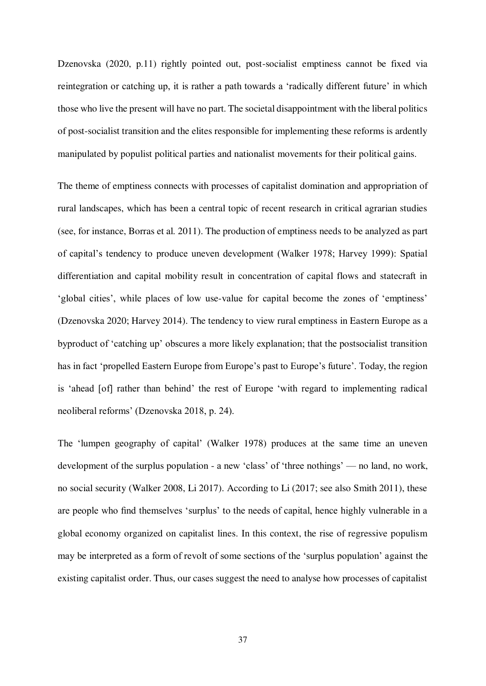Dzenovska (2020, p.11) rightly pointed out, post-socialist emptiness cannot be fixed via reintegration or catching up, it is rather a path towards a 'radically different future' in which those who live the present will have no part. The societal disappointment with the liberal politics of post-socialist transition and the elites responsible for implementing these reforms is ardently manipulated by populist political parties and nationalist movements for their political gains.

The theme of emptiness connects with processes of capitalist domination and appropriation of rural landscapes, which has been a central topic of recent research in critical agrarian studies (see, for instance, Borras et al. 2011). The production of emptiness needs to be analyzed as part of capital's tendency to produce uneven development (Walker 1978; Harvey 1999): Spatial differentiation and capital mobility result in concentration of capital flows and statecraft in 'global cities', while places of low use-value for capital become the zones of 'emptiness' (Dzenovska 2020; Harvey 2014). The tendency to view rural emptiness in Eastern Europe as a byproduct of 'catching up' obscures a more likely explanation; that the postsocialist transition has in fact 'propelled Eastern Europe from Europe's past to Europe's future'. Today, the region is 'ahead [of] rather than behind' the rest of Europe 'with regard to implementing radical neoliberal reforms' (Dzenovska 2018, p. 24).

The 'lumpen geography of capital' (Walker 1978) produces at the same time an uneven development of the surplus population - a new 'class' of 'three nothings' — no land, no work, no social security (Walker 2008, Li 2017). According to Li (2017; see also Smith 2011), these are people who find themselves 'surplus' to the needs of capital, hence highly vulnerable in a global economy organized on capitalist lines. In this context, the rise of regressive populism may be interpreted as a form of revolt of some sections of the 'surplus population' against the existing capitalist order. Thus, our cases suggest the need to analyse how processes of capitalist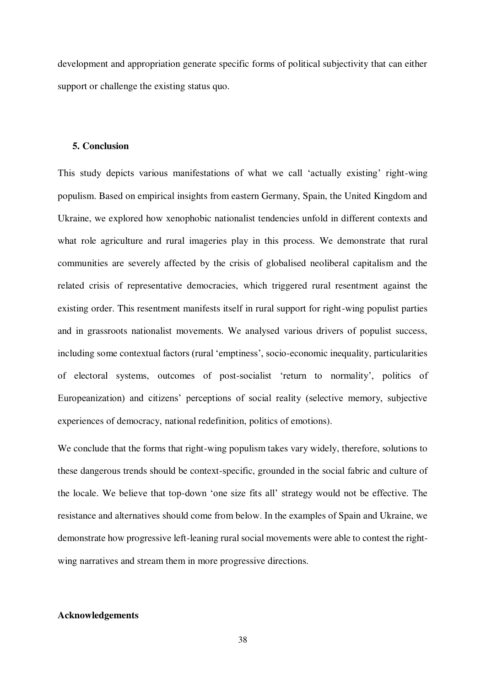development and appropriation generate specific forms of political subjectivity that can either support or challenge the existing status quo.

#### **5. Conclusion**

This study depicts various manifestations of what we call 'actually existing' right-wing populism. Based on empirical insights from eastern Germany, Spain, the United Kingdom and Ukraine, we explored how xenophobic nationalist tendencies unfold in different contexts and what role agriculture and rural imageries play in this process. We demonstrate that rural communities are severely affected by the crisis of globalised neoliberal capitalism and the related crisis of representative democracies, which triggered rural resentment against the existing order. This resentment manifests itself in rural support for right-wing populist parties and in grassroots nationalist movements. We analysed various drivers of populist success, including some contextual factors (rural 'emptiness', socio-economic inequality, particularities of electoral systems, outcomes of post-socialist 'return to normality', politics of Europeanization) and citizens' perceptions of social reality (selective memory, subjective experiences of democracy, national redefinition, politics of emotions).

We conclude that the forms that right-wing populism takes vary widely, therefore, solutions to these dangerous trends should be context-specific, grounded in the social fabric and culture of the locale. We believe that top-down 'one size fits all' strategy would not be effective. The resistance and alternatives should come from below. In the examples of Spain and Ukraine, we demonstrate how progressive left-leaning rural social movements were able to contest the rightwing narratives and stream them in more progressive directions.

# **Acknowledgements**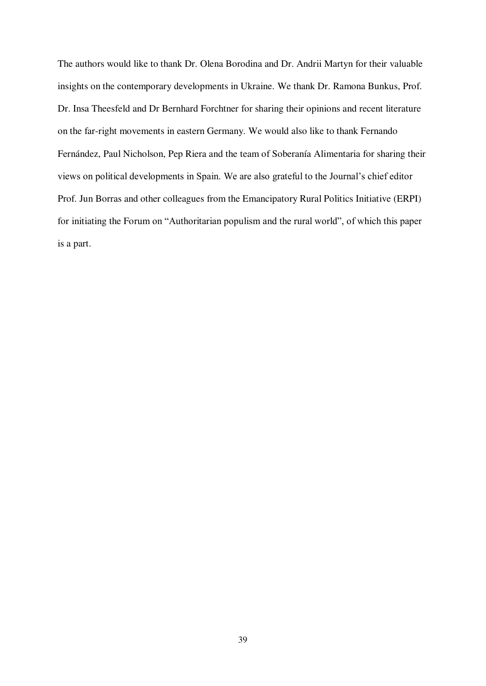The authors would like to thank Dr. Olena Borodina and Dr. Andrii Martyn for their valuable insights on the contemporary developments in Ukraine. We thank Dr. Ramona Bunkus, Prof. Dr. Insa Theesfeld and Dr Bernhard Forchtner for sharing their opinions and recent literature on the far-right movements in eastern Germany. We would also like to thank Fernando Fernández, Paul Nicholson, Pep Riera and the team of Soberanía Alimentaria for sharing their views on political developments in Spain. We are also grateful to the Journal's chief editor Prof. Jun Borras and other colleagues from the Emancipatory Rural Politics Initiative (ERPI) for initiating the Forum on "Authoritarian populism and the rural world", of which this paper is a part.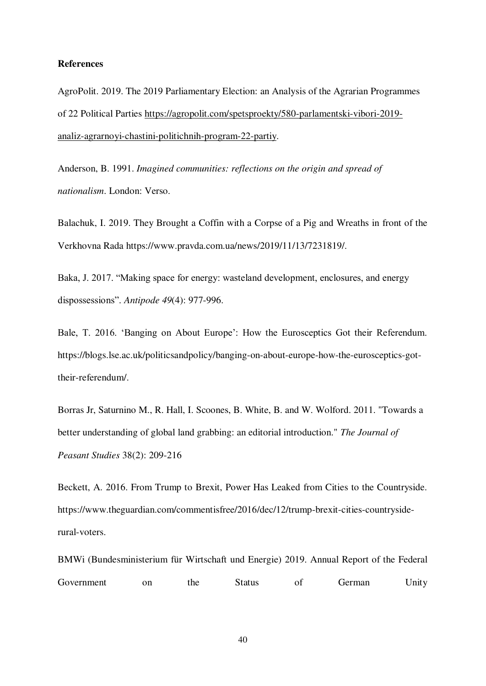#### **References**

AgroPolit. 2019. The 2019 Parliamentary Election: an Analysis of the Agrarian Programmes of 22 Political Parties [https://agropolit.com/spetsproekty/580-parlamentski-vibori-2019](https://agropolit.com/spetsproekty/580-parlamentski-vibori-2019-analiz-agrarnoyi-chastini-politichnih-program-22-partiy) [analiz-agrarnoyi-chastini-politichnih-program-22-partiy.](https://agropolit.com/spetsproekty/580-parlamentski-vibori-2019-analiz-agrarnoyi-chastini-politichnih-program-22-partiy)

Anderson, B. 1991. *Imagined communities: reflections on the origin and spread of nationalism*. London: Verso.

Balachuk, I. 2019. They Brought a Coffin with a Corpse of a Pig and Wreaths in front of the Verkhovna Rada https://www.pravda.com.ua/news/2019/11/13/7231819/.

Baka, J. 2017. "Making space for energy: wasteland development, enclosures, and energy dispossessions". *Antipode 49*(4): 977-996.

Bale, T. 2016. 'Banging on About Europe': How the Eurosceptics Got their Referendum. https://blogs.lse.ac.uk/politicsandpolicy/banging-on-about-europe-how-the-eurosceptics-gottheir-referendum/.

Borras Jr, Saturnino M., R. Hall, I. Scoones, B. White, B. and W. Wolford. 2011. "Towards a better understanding of global land grabbing: an editorial introduction." *The Journal of Peasant Studies* 38(2): 209-216

Beckett, A. 2016. From Trump to Brexit, Power Has Leaked from Cities to the Countryside. https://www.theguardian.com/commentisfree/2016/dec/12/trump-brexit-cities-countrysiderural-voters.

BMWi (Bundesministerium für Wirtschaft und Energie) 2019. Annual Report of the Federal Government on the Status of German Unity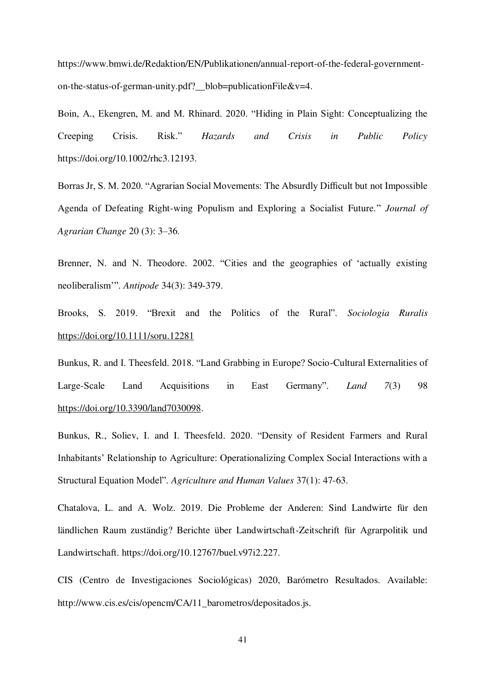https://www.bmwi.de/Redaktion/EN/Publikationen/annual-report-of-the-federal-governmenton-the-status-of-german-unity.pdf? blob=publicationFile&v=4.

Boin, A., Ekengren, M. and M. Rhinard. 2020. "Hiding in Plain Sight: Conceptualizing the Creeping Crisis. Risk." *Hazards and Crisis in Public Policy* https://doi.org/10.1002/rhc3.12193.

Borras Jr, S. M. 2020. "Agrarian Social Movements: The Absurdly Difficult but not Impossible Agenda of Defeating Right-wing Populism and Exploring a Socialist Future*.*" *Journal of Agrarian Change* 20 (3): 3–36.

Brenner, N. and N. Theodore. 2002. "Cities and the geographies of 'actually existing neoliberalism'". *Antipode* 34(3): 349-379.

Brooks, S. 2019. "Brexit and the Politics of the Rural". *Sociologia Ruralis* <https://doi.org/10.1111/soru.12281>

Bunkus, R. and I. Theesfeld. 2018. "Land Grabbing in Europe? Socio-Cultural Externalities of Large-Scale Land Acquisitions in East Germany". *Land 7*(3) 98 [https://doi.org/10.3390/land7030098.](https://doi.org/10.3390/land7030098)

Bunkus, R., Soliev, I. and I. Theesfeld. 2020. "Density of Resident Farmers and Rural Inhabitants' Relationship to Agriculture: Operationalizing Complex Social Interactions with a Structural Equation Model". *Agriculture and Human Values* 37(1): 47-63.

Chatalova, L. and A. Wolz. 2019. Die Probleme der Anderen: Sind Landwirte für den ländlichen Raum zuständig? Berichte über Landwirtschaft-Zeitschrift für Agrarpolitik und Landwirtschaft. https://doi.org/10.12767/buel.v97i2.227.

CIS (Centro de Investigaciones Sociológicas) 2020, Barómetro Resultados. Available: http://www.cis.es/cis/opencm/CA/11\_barometros/depositados.js.

41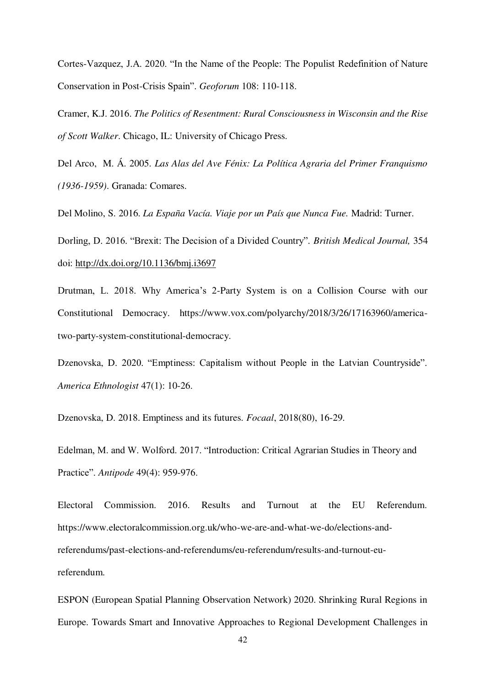Cortes-Vazquez, J.A. 2020. "In the Name of the People: The Populist Redefinition of Nature Conservation in Post-Crisis Spain". *Geoforum* 108: 110-118.

Cramer, K.J. 2016. *The Politics of Resentment: Rural Consciousness in Wisconsin and the Rise of Scott Walker*. Chicago, IL: University of Chicago Press.

Del Arco, M. Á. 2005. *Las Alas del Ave Fénix: La Política Agraria del Primer Franquismo (1936-1959)*. Granada: Comares.

Del Molino, S. 2016. *La España Vacía. Viaje por un País que Nunca Fue.* Madrid: Turner.

Dorling, D. 2016. "Brexit: The Decision of a Divided Country". *British Medical Journal,* 354 doi:<http://dx.doi.org/10.1136/bmj.i3697>

Drutman, L. 2018. Why America's 2-Party System is on a Collision Course with our Constitutional Democracy. https://www.vox.com/polyarchy/2018/3/26/17163960/americatwo-party-system-constitutional-democracy.

Dzenovska, D. 2020. "Emptiness: Capitalism without People in the Latvian Countryside". *America Ethnologist* 47(1): 10-26.

Dzenovska, D. 2018. Emptiness and its futures. *Focaal*, 2018(80), 16-29.

Edelman, M. and W. Wolford. 2017. "Introduction: Critical Agrarian Studies in Theory and Practice". *Antipode* 49(4): 959-976.

Electoral Commission. 2016. Results and Turnout at the EU Referendum. https://www.electoralcommission.org.uk/who-we-are-and-what-we-do/elections-andreferendums/past-elections-and-referendums/eu-referendum/results-and-turnout-eureferendum.

ESPON (European Spatial Planning Observation Network) 2020. Shrinking Rural Regions in Europe. Towards Smart and Innovative Approaches to Regional Development Challenges in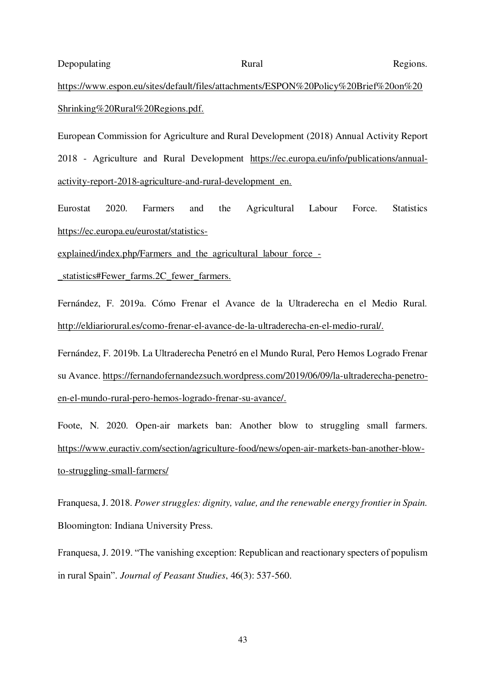Depopulating Rural Regions.

# [https://www.espon.eu/sites/default/files/attachments/ESPON%20Policy%20Brief%20on%20](https://www.espon.eu/sites/default/files/attachments/ESPON%20Policy%20Brief%20on%20Shrinking%20Rural%20Regions.pdf) [Shrinking%20Rural%20Regions.pdf.](https://www.espon.eu/sites/default/files/attachments/ESPON%20Policy%20Brief%20on%20Shrinking%20Rural%20Regions.pdf)

European Commission for Agriculture and Rural Development (2018) Annual Activity Report 2018 - Agriculture and Rural Developmen[t https://ec.europa.eu/info/publications/annual](https://ec.europa.eu/info/publications/annual-activity-report-2018-agriculture-and-rural-development_en)[activity-report-2018-agriculture-and-rural-development\\_en.](https://ec.europa.eu/info/publications/annual-activity-report-2018-agriculture-and-rural-development_en)

Eurostat 2020. Farmers and the Agricultural Labour Force. Statistics [https://ec.europa.eu/eurostat/statistics-](https://ec.europa.eu/eurostat/statistics-explained/index.php/Farmers_and_the_agricultural_labour_force_-_statistics#Fewer_farms.2C_fewer_farmers)

[explained/index.php/Farmers\\_and\\_the\\_agricultural\\_labour\\_force\\_-](https://ec.europa.eu/eurostat/statistics-explained/index.php/Farmers_and_the_agricultural_labour_force_-_statistics#Fewer_farms.2C_fewer_farmers)

[\\_statistics#Fewer\\_farms.2C\\_fewer\\_farmers.](https://ec.europa.eu/eurostat/statistics-explained/index.php/Farmers_and_the_agricultural_labour_force_-_statistics#Fewer_farms.2C_fewer_farmers)

Fernández, F. 2019a. Cómo Frenar el Avance de la Ultraderecha en el Medio Rural[.](http://eldiariorural.es/como-frenar-el-avance-de-la-ultraderecha-en-el-medio-rural/)  [http://eldiariorural.es/como-frenar-el-avance-de-la-ultraderecha-en-el-medio-rural/.](http://eldiariorural.es/como-frenar-el-avance-de-la-ultraderecha-en-el-medio-rural/)

Fernández, F. 2019b. La Ultraderecha Penetró en el Mundo Rural, Pero Hemos Logrado Frenar su Avance[. https://fernandofernandezsuch.wordpress.com/2019/06/09/la-ultraderecha-penetro](https://fernandofernandezsuch.wordpress.com/2019/06/09/la-ultraderecha-penetro-en-el-mundo-rural-pero-hemos-logrado-frenar-su-avance/)[en-el-mundo-rural-pero-hemos-logrado-frenar-su-avance/.](https://fernandofernandezsuch.wordpress.com/2019/06/09/la-ultraderecha-penetro-en-el-mundo-rural-pero-hemos-logrado-frenar-su-avance/)

Foote, N. 2020. Open-air markets ban: Another blow to struggling small farmers[.](https://www.euractiv.com/section/agriculture-food/news/open-air-markets-ban-another-blow-to-struggling-small-farmers/)  [https://www.euractiv.com/section/agriculture-food/news/open-air-markets-ban-another-blow](https://www.euractiv.com/section/agriculture-food/news/open-air-markets-ban-another-blow-to-struggling-small-farmers/)[to-struggling-small-farmers/](https://www.euractiv.com/section/agriculture-food/news/open-air-markets-ban-another-blow-to-struggling-small-farmers/) 

Franquesa, J. 2018. *Power struggles: dignity, value, and the renewable energy frontier in Spain.* Bloomington: Indiana University Press.

Franquesa, J. 2019. "The vanishing exception: Republican and reactionary specters of populism in rural Spain". *Journal of Peasant Studies*, 46(3): 537-560.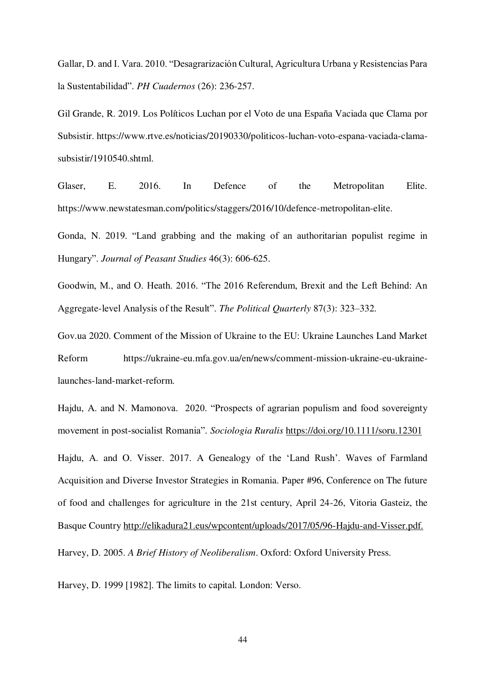Gallar, D. and I. Vara. 2010. "Desagrarización Cultural, Agricultura Urbana y Resistencias Para la Sustentabilidad". *PH Cuadernos* (26): 236-257[.](about:blank) 

Gil Grande, R. 2019. Los Políticos Luchan por el Voto de una España Vaciada que Clama por Subsistir. https://www.rtve.es/noticias/20190330/politicos-luchan-voto-espana-vaciada-clamasubsistir/1910540.shtml.

Glaser, E. 2016. In Defence of the Metropolitan Elite. https://www.newstatesman.com/politics/staggers/2016/10/defence-metropolitan-elite.

Gonda, N. 2019. "Land grabbing and the making of an authoritarian populist regime in Hungary". *Journal of Peasant Studies* 46(3): 606-625.

Goodwin, M., and O. Heath. 2016. "The 2016 Referendum, Brexit and the Left Behind: An Aggregate-level Analysis of the Result". *The Political Quarterly* 87(3): 323–332.

Gov.ua 2020. Comment of the Mission of Ukraine to the EU: Ukraine Launches Land Market Reform https://ukraine-eu.mfa.gov.ua/en/news/comment-mission-ukraine-eu-ukrainelaunches-land-market-reform.

Hajdu, A. and N. Mamonova. 2020. "Prospects of agrarian populism and food sovereignty movement in post‐socialist Romania". *Sociologia Ruralis* <https://doi.org/10.1111/soru.12301>

Hajdu, A. and O. Visser. 2017. A Genealogy of the 'Land Rush'. Waves of Farmland Acquisition and Diverse Investor Strategies in Romania. Paper #96, Conference on The future of food and challenges for agriculture in the 21st century, April 24-26, Vitoria Gasteiz, the Basque Countr[y http://elikadura21.eus/wpcontent/uploads/2017/05/96-Hajdu-and-Visser.pdf.](http://elikadura21.eus/wpcontent/uploads/2017/05/96-Hajdu-and-Visser.pdf)

Harvey, D. 2005. *A Brief History of Neoliberalism*. Oxford: Oxford University Press.

Harvey, D. 1999 [1982]. The limits to capital. London: Verso.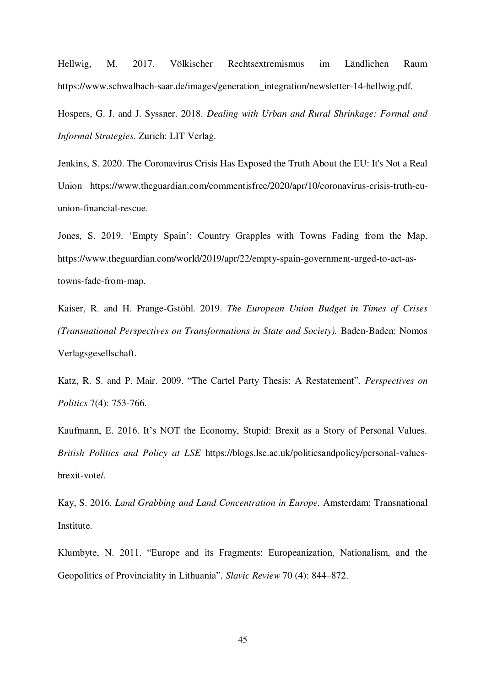Hellwig, M. 2017. Völkischer Rechtsextremismus im Ländlichen Raum https://www.schwalbach-saar.de/images/generation\_integration/newsletter-14-hellwig.pdf.

Hospers, G. J. and J. Syssner. 2018. *Dealing with Urban and Rural Shrinkage: Formal and Informal Strategies*. Zurich: LIT Verlag.

Jenkins, S. 2020. The Coronavirus Crisis Has Exposed the Truth About the EU: It's Not a Real Union https://www.theguardian.com/commentisfree/2020/apr/10/coronavirus-crisis-truth-euunion-financial-rescue.

Jones, S. 2019. 'Empty Spain': Country Grapples with Towns Fading from the Map. https://www.theguardian.com/world/2019/apr/22/empty-spain-government-urged-to-act-astowns-fade-from-map.

Kaiser, R. and H. Prange-Gstöhl. 2019. *The European Union Budget in Times of Crises (Transnational Perspectives on Transformations in State and Society).* Baden-Baden: Nomos Verlagsgesellschaft.

Katz, R. S. and P. Mair. 2009. "The Cartel Party Thesis: A Restatement". *Perspectives on Politics* 7(4): 753-766.

Kaufmann, E. 2016. It's NOT the Economy, Stupid: Brexit as a Story of Personal Values. *British Politics and Policy at LSE* https://blogs.lse.ac.uk/politicsandpolicy/personal-valuesbrexit-vote/.

Kay, S. 2016. *Land Grabbing and Land Concentration in Europe.* Amsterdam: Transnational Institute.

Klumbyte, N. 2011. "Europe and its Fragments: Europeanization, Nationalism, and the Geopolitics of Provinciality in Lithuania". *Slavic Review* 70 (4): 844–872.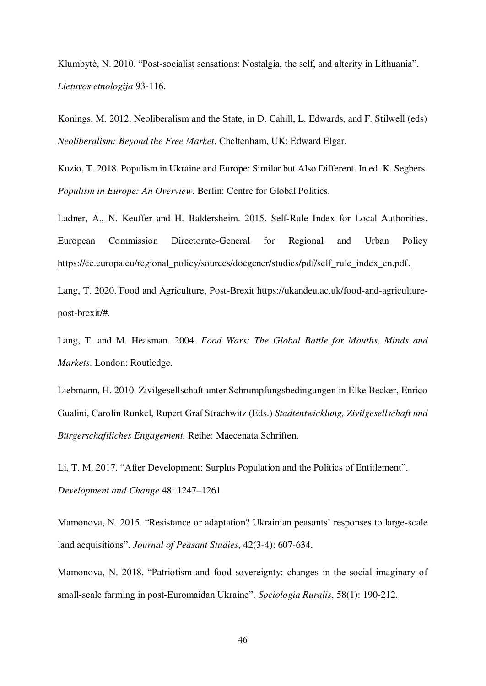Klumbytė, N. 2010. "Post-socialist sensations: Nostalgia, the self, and alterity in Lithuania". *Lietuvos etnologija* 93-116.

Konings, M. 2012. Neoliberalism and the State, in D. Cahill, L. Edwards, and F. Stilwell (eds) *Neoliberalism: Beyond the Free Market*, Cheltenham, UK: Edward Elgar.

Kuzio, T. 2018. Populism in Ukraine and Europe: Similar but Also Different. In ed. K. Segbers. *Populism in Europe: An Overview*. Berlin: Centre for Global Politics.

Ladner, A., N. Keuffer and H. Baldersheim. 2015. Self-Rule Index for Local Authorities[.](https://ec.europa.eu/regional_policy/sources/docgener/studies/pdf/self_rule_index_en.pdf)  European Commission Directorate-General for Regional and Urban Policy [https://ec.europa.eu/regional\\_policy/sources/docgener/studies/pdf/self\\_rule\\_index\\_en.pdf.](https://ec.europa.eu/regional_policy/sources/docgener/studies/pdf/self_rule_index_en.pdf)

Lang, T. 2020. Food and Agriculture, Post-Brexit https://ukandeu.ac.uk/food-and-agriculturepost-brexit/#.

Lang, T. and M. Heasman. 2004. *Food Wars: The Global Battle for Mouths, Minds and Markets*. London: Routledge.

Liebmann, H. 2010. Zivilgesellschaft unter Schrumpfungsbedingungen in Elke Becker, Enrico Gualini, Carolin Runkel, Rupert Graf Strachwitz (Eds.) *Stadtentwicklung, Zivilgesellschaft und Bürgerschaftliches Engagement.* Reihe: Maecenata Schriften.

Li, T. M. 2017. "After Development: Surplus Population and the Politics of Entitlement". *Development and Change* 48: 1247–1261.

Mamonova, N. 2015. "Resistance or adaptation? Ukrainian peasants' responses to large-scale land acquisitions". *Journal of Peasant Studies*, 42(3-4): 607-634.

Mamonova, N. 2018. "Patriotism and food sovereignty: changes in the social imaginary of small‐scale farming in post‐Euromaidan Ukraine". *Sociologia Ruralis*, 58(1): 190-212.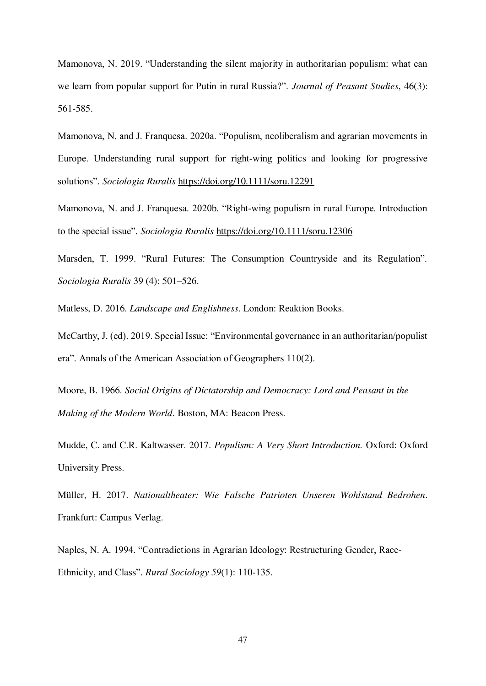Mamonova, N. 2019. "Understanding the silent majority in authoritarian populism: what can we learn from popular support for Putin in rural Russia?". *Journal of Peasant Studies*, 46(3): 561-585.

Mamonova, N. and J. Franquesa. 2020a. "Populism, neoliberalism and agrarian movements in Europe. Understanding rural support for right‐wing politics and looking for progressive solutions". *Sociologia Ruralis*<https://doi.org/10.1111/soru.12291>

Mamonova, N. and J. Franquesa. 2020b. "Right‐wing populism in rural Europe. Introduction to the special issue". *Sociologia Ruralis*<https://doi.org/10.1111/soru.12306>

Marsden, T. 1999. "Rural Futures: The Consumption Countryside and its Regulation". *Sociologia Ruralis* 39 (4): 501–526.

Matless, D. 2016. *Landscape and Englishness*. London: Reaktion Books.

McCarthy, J. (ed). 2019. Special Issue: "Environmental governance in an authoritarian/populist era". Annals of the American Association of Geographers 110(2).

Moore, B. 1966. *Social Origins of Dictatorship and Democracy: Lord and Peasant in the Making of the Modern World*. Boston, MA: Beacon Press.

Mudde, C. and C.R. Kaltwasser. 2017. *Populism: A Very Short Introduction.* Oxford: Oxford University Press.

Müller, H. 2017. *Nationaltheater: Wie Falsche Patrioten Unseren Wohlstand Bedrohen*. Frankfurt: Campus Verlag.

Naples, N. A. 1994. "Contradictions in Agrarian Ideology: Restructuring Gender, Race‐ Ethnicity, and Class". *Rural Sociology 59*(1): 110-135.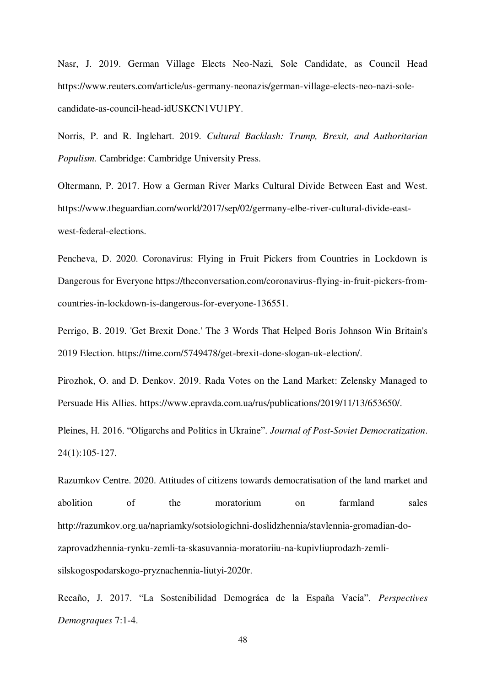Nasr, J. 2019. German Village Elects Neo-Nazi, Sole Candidate, as Council Head https://www.reuters.com/article/us-germany-neonazis/german-village-elects-neo-nazi-solecandidate-as-council-head-idUSKCN1VU1PY.

Norris, P. and R. Inglehart. 2019. *Cultural Backlash: Trump, Brexit, and Authoritarian Populism.* Cambridge: Cambridge University Press.

Oltermann, P. 2017. How a German River Marks Cultural Divide Between East and West. https://www.theguardian.com/world/2017/sep/02/germany-elbe-river-cultural-divide-eastwest-federal-elections.

Pencheva, D. 2020. Coronavirus: Flying in Fruit Pickers from Countries in Lockdown is Dangerous for Everyone https://theconversation.com/coronavirus-flying-in-fruit-pickers-fromcountries-in-lockdown-is-dangerous-for-everyone-136551.

Perrigo, B. 2019. 'Get Brexit Done.' The 3 Words That Helped Boris Johnson Win Britain's 2019 Election. https://time.com/5749478/get-brexit-done-slogan-uk-election/.

Pirozhok, O. and D. Denkov. 2019. Rada Votes on the Land Market: Zelensky Managed to Persuade His Allies. https://www.epravda.com.ua/rus/publications/2019/11/13/653650/.

Pleines, H. 2016. "Oligarchs and Politics in Ukraine". *Journal of Post-Soviet Democratization*. 24(1):105-127.

Razumkov Centre. 2020. Attitudes of citizens towards democratisation of the land market and abolition of the moratorium on farmland sales http://razumkov.org.ua/napriamky/sotsiologichni-doslidzhennia/stavlennia-gromadian-dozaprovadzhennia-rynku-zemli-ta-skasuvannia-moratoriiu-na-kupivliuprodazh-zemlisilskogospodarskogo-pryznachennia-liutyi-2020r.

Recaño, J. 2017. "La Sostenibilidad Demográca de la España Vacía". *Perspectives Demograques* 7:1-4.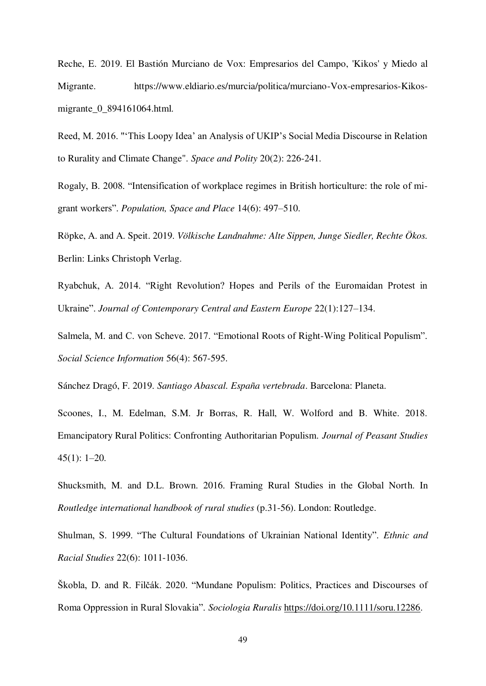Reche, E. 2019. El Bastión Murciano de Vox: Empresarios del Campo, 'Kikos' y Miedo al Migrante. https://www.eldiario.es/murcia/politica/murciano-Vox-empresarios-Kikosmigrante\_0\_894161064.html.

Reed, M. 2016. "'This Loopy Idea' an Analysis of UKIP's Social Media Discourse in Relation to Rurality and Climate Change". *Space and Polity* 20(2): 226-241.

Rogaly, B. 2008. "Intensification of workplace regimes in British horticulture: the role of migrant workers". *Population, Space and Place* 14(6): 497–510.

Röpke, A. and A. Speit. 2019. *Völkische Landnahme: Alte Sippen, Junge Siedler, Rechte Ökos.*  Berlin: Links Christoph Verlag.

Ryabchuk, A. 2014. "Right Revolution? Hopes and Perils of the Euromaidan Protest in Ukraine". *Journal of Contemporary Central and Eastern Europe* 22(1):127–134.

Salmela, M. and C. von Scheve. 2017. "Emotional Roots of Right-Wing Political Populism". *Social Science Information* 56(4): 567-595.

Sánchez Dragó, F. 2019. *Santiago Abascal. España vertebrada*. Barcelona: Planeta.

Scoones, I., M. Edelman, S.M. Jr Borras, R. Hall, W. Wolford and B. White. 2018. Emancipatory Rural Politics: Confronting Authoritarian Populism. *Journal of Peasant Studies* 45(1): 1–20.

Shucksmith, M. and D.L. Brown. 2016. Framing Rural Studies in the Global North. In *Routledge international handbook of rural studies* (p.31-56). London: Routledge.

Shulman, S. 1999. "The Cultural Foundations of Ukrainian National Identity". *Ethnic and Racial Studies* 22(6): 1011-1036.

Škobla, D. and R. Filčák. 2020. "Mundane Populism: Politics, Practices and Discourses of Roma Oppression in Rural Slovakia". *Sociologia Ruralis* [https://doi.org/10.1111/soru.12286.](https://doi.org/10.1111/soru.12286)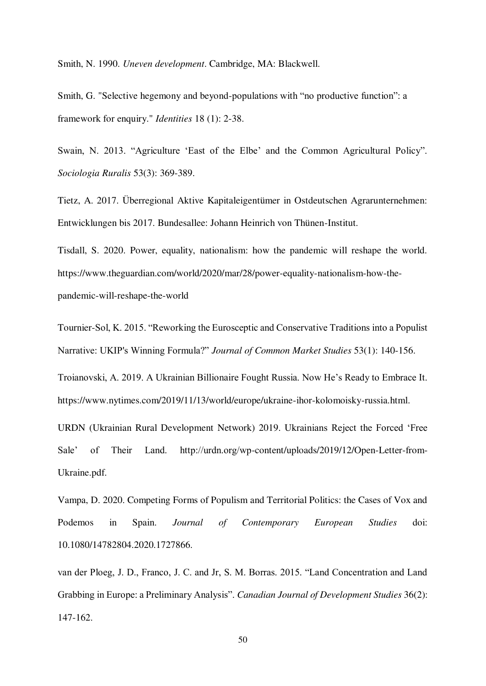Smith, N. 1990. *Uneven development*. Cambridge, MA: Blackwell.

Smith, G. "Selective hegemony and beyond-populations with "no productive function": a framework for enquiry." *Identities* 18 (1): 2-38.

Swain, N. 2013. "Agriculture 'East of the Elbe' and the Common Agricultural Policy". *Sociologia Ruralis* 53(3): 369-389.

Tietz, A. 2017. Überregional Aktive Kapitaleigentümer in Ostdeutschen Agrarunternehmen: Entwicklungen bis 2017. Bundesallee: Johann Heinrich von Thünen-Institut.

Tisdall, S. 2020. Power, equality, nationalism: how the pandemic will reshape the world. https://www.theguardian.com/world/2020/mar/28/power-equality-nationalism-how-thepandemic-will-reshape-the-world

Tournier-Sol, K. 2015. "Reworking the Eurosceptic and Conservative Traditions into a Populist Narrative: UKIP's Winning Formula?" *Journal of Common Market Studies* 53(1): 140-156.

Troianovski, A. 2019. A Ukrainian Billionaire Fought Russia. Now He's Ready to Embrace It. https://www.nytimes.com/2019/11/13/world/europe/ukraine-ihor-kolomoisky-russia.html.

URDN (Ukrainian Rural Development Network) 2019. Ukrainians Reject the Forced 'Free Sale' of Their Land. http://urdn.org/wp-content/uploads/2019/12/Open-Letter-from-Ukraine.pdf.

Vampa, D. 2020. Competing Forms of Populism and Territorial Politics: the Cases of Vox and Podemos in Spain. *Journal of Contemporary European Studies* doi: 10.1080/14782804.2020.1727866.

van der Ploeg, J. D., Franco, J. C. and Jr, S. M. Borras. 2015. "Land Concentration and Land Grabbing in Europe: a Preliminary Analysis". *Canadian Journal of Development Studies* 36(2): 147-162.

50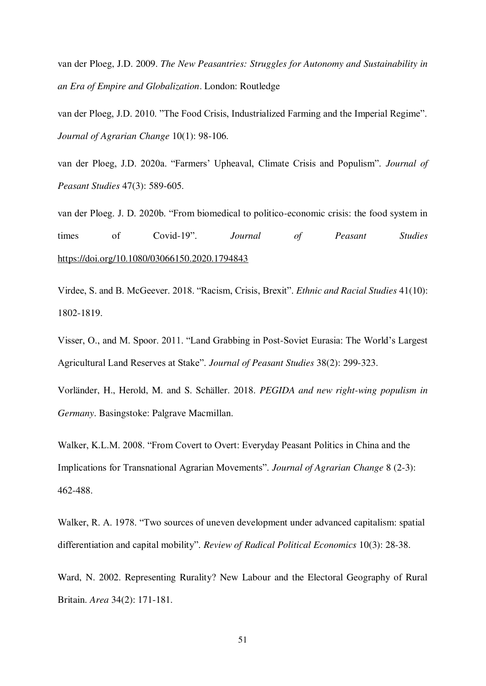van der Ploeg, J.D. 2009. *The New Peasantries: Struggles for Autonomy and Sustainability in an Era of Empire and Globalization*. London: Routledge

van der Ploeg, J.D. 2010. "The Food Crisis, Industrialized Farming and the Imperial Regime". *Journal of Agrarian Change* 10(1): 98-106.

van der Ploeg, J.D. 2020a. "Farmers' Upheaval, Climate Crisis and Populism". *Journal of Peasant Studies* 47(3): 589-605.

van der Ploeg. J. D. 2020b. "From biomedical to politico-economic crisis: the food system in times of Covid-19". *Journal of Peasant Studies* <https://doi.org/10.1080/03066150.2020.1794843>

Virdee, S. and B. McGeever. 2018. "Racism, Crisis, Brexit". *Ethnic and Racial Studies* 41(10): 1802-1819.

Visser, O., and M. Spoor. 2011. "Land Grabbing in Post-Soviet Eurasia: The World's Largest Agricultural Land Reserves at Stake". *Journal of Peasant Studies* 38(2): 299-323.

Vorländer, H., Herold, M. and S. Schäller. 2018. *PEGIDA and new right-wing populism in Germany*. Basingstoke: Palgrave Macmillan.

Walker, K.L.M. 2008. "From Covert to Overt: Everyday Peasant Politics in China and the Implications for Transnational Agrarian Movements". *Journal of Agrarian Change* 8 (2-3): 462-488.

Walker, R. A. 1978. "Two sources of uneven development under advanced capitalism: spatial differentiation and capital mobility". *Review of Radical Political Economics* 10(3): 28-38.

Ward, N. 2002. Representing Rurality? New Labour and the Electoral Geography of Rural Britain. *Area* 34(2): 171-181.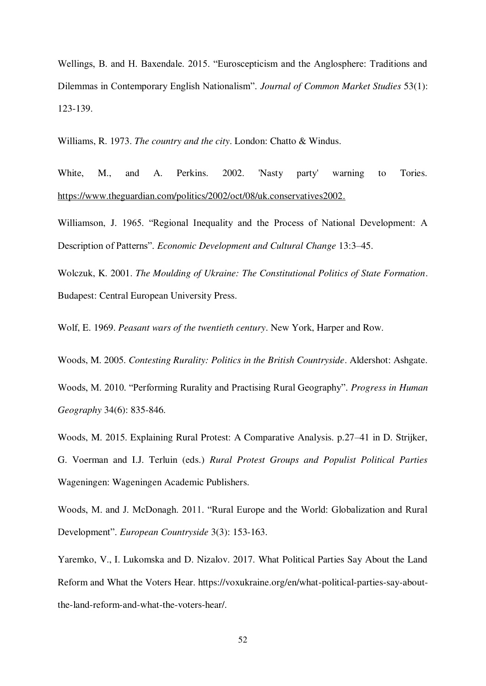Wellings, B. and H. Baxendale. 2015. "Euroscepticism and the Anglosphere: Traditions and Dilemmas in Contemporary English Nationalism". *Journal of Common Market Studies* 53(1): 123-139.

Williams, R. 1973. *The country and the city*. London: Chatto & Windus.

White, M., and A. Perkins. 2002. 'Nasty party' warning to Tories. [https://www.theguardian.com/politics/2002/oct/08/uk.conservatives2002.](https://www.theguardian.com/politics/2002/oct/08/uk.conservatives2002)

Williamson, J. 1965. "Regional Inequality and the Process of National Development: A Description of Patterns". *Economic Development and Cultural Change* 13:3–45.

Wolczuk, K. 2001. *The Moulding of Ukraine: The Constitutional Politics of State Formation*. Budapest: Central European University Press.

Wolf, E. 1969. *Peasant wars of the twentieth century*. New York, Harper and Row.

Woods, M. 2005. *Contesting Rurality: Politics in the British Countryside*. Aldershot: Ashgate.

Woods, M. 2010. "Performing Rurality and Practising Rural Geography". *Progress in Human Geography* 34(6): 835-846.

Woods, M. 2015. Explaining Rural Protest: A Comparative Analysis. p.27–41 in D. Strijker, G. Voerman and I.J. Terluin (eds.) *Rural Protest Groups and Populist Political Parties* Wageningen: Wageningen Academic Publishers.

Woods, M. and J. McDonagh. 2011. "Rural Europe and the World: Globalization and Rural Development". *European Countryside* 3(3): 153-163.

Yaremko, V., I. Lukomska and D. Nizalov. 2017. What Political Parties Say About the Land Reform and What the Voters Hear. https://voxukraine.org/en/what-political-parties-say-aboutthe-land-reform-and-what-the-voters-hear/.